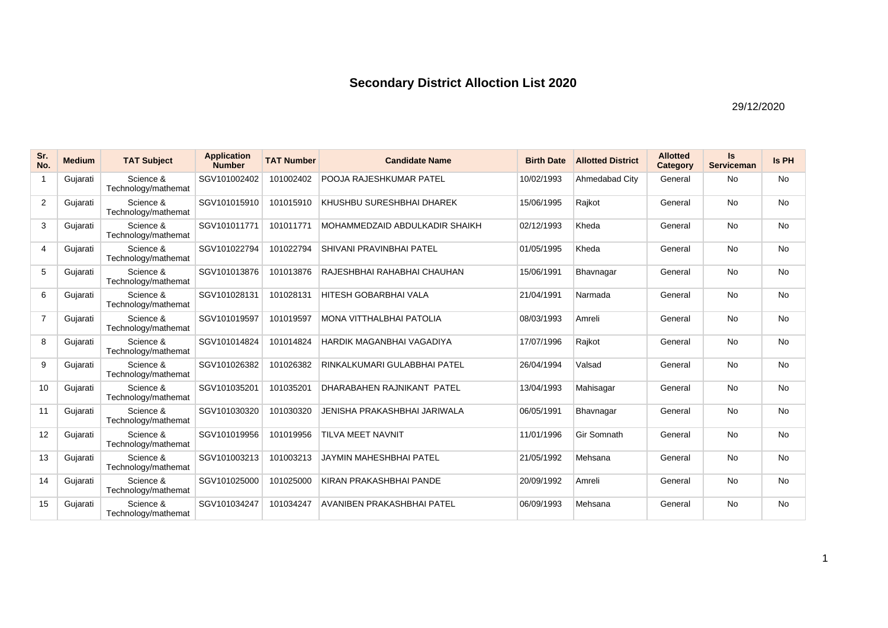| Sr.<br>No.     | <b>Medium</b> | <b>TAT Subject</b>               | <b>Application</b><br><b>Number</b> | <b>TAT Number</b> | <b>Candidate Name</b>          | <b>Birth Date</b> | <b>Allotted District</b> | <b>Allotted</b><br>Category | Is<br><b>Serviceman</b> | <b>Is PH</b> |
|----------------|---------------|----------------------------------|-------------------------------------|-------------------|--------------------------------|-------------------|--------------------------|-----------------------------|-------------------------|--------------|
| $\mathbf{1}$   | Gujarati      | Science &<br>Technology/mathemat | SGV101002402                        | 101002402         | POOJA RAJESHKUMAR PATEL        | 10/02/1993        | Ahmedabad City           | General                     | <b>No</b>               | <b>No</b>    |
| $\overline{2}$ | Gujarati      | Science &<br>Technology/mathemat | SGV101015910                        | 101015910         | KHUSHBU SURESHBHAI DHAREK      | 15/06/1995        | Rajkot                   | General                     | <b>No</b>               | No           |
| 3              | Gujarati      | Science &<br>Technology/mathemat | SGV101011771                        | 101011771         | MOHAMMEDZAID ABDULKADIR SHAIKH | 02/12/1993        | Kheda                    | General                     | <b>No</b>               | <b>No</b>    |
| 4              | Gujarati      | Science &<br>Technology/mathemat | SGV101022794                        | 101022794         | SHIVANI PRAVINBHAI PATEL       | 01/05/1995        | Kheda                    | General                     | <b>No</b>               | <b>No</b>    |
| 5              | Gujarati      | Science &<br>Technology/mathemat | SGV101013876                        | 101013876         | RAJESHBHAI RAHABHAI CHAUHAN    | 15/06/1991        | Bhavnagar                | General                     | No                      | No           |
| 6              | Gujarati      | Science &<br>Technology/mathemat | SGV101028131                        | 101028131         | <b>HITESH GOBARBHAI VALA</b>   | 21/04/1991        | Narmada                  | General                     | <b>No</b>               | <b>No</b>    |
| $\overline{7}$ | Gujarati      | Science &<br>Technology/mathemat | SGV101019597                        | 101019597         | MONA VITTHALBHAI PATOLIA       | 08/03/1993        | Amreli                   | General                     | <b>No</b>               | <b>No</b>    |
| 8              | Gujarati      | Science &<br>Technology/mathemat | SGV101014824                        | 101014824         | HARDIK MAGANBHAI VAGADIYA      | 17/07/1996        | Rajkot                   | General                     | <b>No</b>               | <b>No</b>    |
| 9              | Gujarati      | Science &<br>Technology/mathemat | SGV101026382                        | 101026382         | RINKALKUMARI GULABBHAI PATEL   | 26/04/1994        | Valsad                   | General                     | <b>No</b>               | No           |
| 10             | Gujarati      | Science &<br>Technology/mathemat | SGV101035201                        | 101035201         | DHARABAHEN RAJNIKANT PATEL     | 13/04/1993        | Mahisagar                | General                     | <b>No</b>               | <b>No</b>    |
| 11             | Gujarati      | Science &<br>Technology/mathemat | SGV101030320                        | 101030320         | JENISHA PRAKASHBHAI JARIWALA   | 06/05/1991        | Bhavnagar                | General                     | <b>No</b>               | <b>No</b>    |
| 12             | Gujarati      | Science &<br>Technology/mathemat | SGV101019956                        | 101019956         | TILVA MEET NAVNIT              | 11/01/1996        | Gir Somnath              | General                     | <b>No</b>               | <b>No</b>    |
| 13             | Gujarati      | Science &<br>Technology/mathemat | SGV101003213                        | 101003213         | <b>JAYMIN MAHESHBHAI PATEL</b> | 21/05/1992        | Mehsana                  | General                     | <b>No</b>               | <b>No</b>    |
| 14             | Gujarati      | Science &<br>Technology/mathemat | SGV101025000                        | 101025000         | KIRAN PRAKASHBHAI PANDE        | 20/09/1992        | Amreli                   | General                     | <b>No</b>               | No           |
| 15             | Gujarati      | Science &<br>Technology/mathemat | SGV101034247                        | 101034247         | AVANIBEN PRAKASHBHAI PATEL     | 06/09/1993        | Mehsana                  | General                     | <b>No</b>               | <b>No</b>    |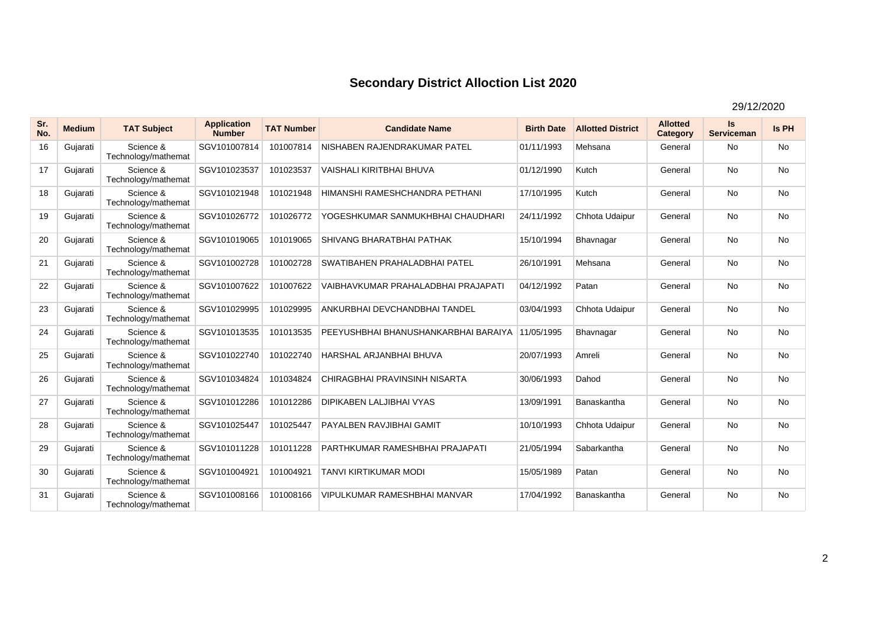| Sr.<br>No. | <b>Medium</b> | <b>TAT Subject</b>               | <b>Application</b><br><b>Number</b> | <b>TAT Number</b> | <b>Candidate Name</b>                  | <b>Birth Date</b> | <b>Allotted District</b> | <b>Allotted</b><br>Category | Is<br><b>Serviceman</b> | Is PH     |
|------------|---------------|----------------------------------|-------------------------------------|-------------------|----------------------------------------|-------------------|--------------------------|-----------------------------|-------------------------|-----------|
| 16         | Gujarati      | Science &<br>Technology/mathemat | SGV101007814                        | 101007814         | NISHABEN RAJENDRAKUMAR PATEL           | 01/11/1993        | Mehsana                  | General                     | No                      | <b>No</b> |
| 17         | Gujarati      | Science &<br>Technology/mathemat | SGV101023537                        | 101023537         | <b>VAISHALI KIRITBHAI BHUVA</b>        | 01/12/1990        | Kutch                    | General                     | <b>No</b>               | <b>No</b> |
| 18         | Gujarati      | Science &<br>Technology/mathemat | SGV101021948                        | 101021948         | HIMANSHI RAMESHCHANDRA PETHANI         | 17/10/1995        | Kutch                    | General                     | <b>No</b>               | <b>No</b> |
| 19         | Gujarati      | Science &<br>Technology/mathemat | SGV101026772                        | 101026772         | YOGESHKUMAR SANMUKHBHAI CHAUDHARI      | 24/11/1992        | Chhota Udaipur           | General                     | <b>No</b>               | <b>No</b> |
| 20         | Gujarati      | Science &<br>Technology/mathemat | SGV101019065                        | 101019065         | SHIVANG BHARATBHAI PATHAK              | 15/10/1994        | Bhavnagar                | General                     | <b>No</b>               | <b>No</b> |
| 21         | Gujarati      | Science &<br>Technology/mathemat | SGV101002728                        | 101002728         | SWATIBAHEN PRAHALADBHAI PATEL          | 26/10/1991        | Mehsana                  | General                     | <b>No</b>               | <b>No</b> |
| 22         | Gujarati      | Science &<br>Technology/mathemat | SGV101007622                        | 101007622         | VAIBHAVKUMAR PRAHALADBHAI PRAJAPATI    | 04/12/1992        | Patan                    | General                     | <b>No</b>               | <b>No</b> |
| 23         | Gujarati      | Science &<br>Technology/mathemat | SGV101029995                        | 101029995         | ANKURBHAI DEVCHANDBHAI TANDEL          | 03/04/1993        | Chhota Udaipur           | General                     | <b>No</b>               | <b>No</b> |
| 24         | Gujarati      | Science &<br>Technology/mathemat | SGV101013535                        | 101013535         | PEEYUSHBHAI BHANUSHANKARBHAI BARAIYA   | 11/05/1995        | Bhavnagar                | General                     | <b>No</b>               | <b>No</b> |
| 25         | Gujarati      | Science &<br>Technology/mathemat | SGV101022740                        | 101022740         | HARSHAL ARJANBHAI BHUVA                | 20/07/1993        | Amreli                   | General                     | <b>No</b>               | <b>No</b> |
| 26         | Gujarati      | Science &<br>Technology/mathemat | SGV101034824                        | 101034824         | CHIRAGBHAI PRAVINSINH NISARTA          | 30/06/1993        | Dahod                    | General                     | <b>No</b>               | <b>No</b> |
| 27         | Gujarati      | Science &<br>Technology/mathemat | SGV101012286                        | 101012286         | <b>DIPIKABEN LALJIBHAI VYAS</b>        | 13/09/1991        | Banaskantha              | General                     | <b>No</b>               | <b>No</b> |
| 28         | Gujarati      | Science &<br>Technology/mathemat | SGV101025447                        | 101025447         | PAYALBEN RAVJIBHAI GAMIT               | 10/10/1993        | Chhota Udaipur           | General                     | <b>No</b>               | <b>No</b> |
| 29         | Gujarati      | Science &<br>Technology/mathemat | SGV101011228                        | 101011228         | <b>PARTHKUMAR RAMESHBHAI PRAJAPATI</b> | 21/05/1994        | Sabarkantha              | General                     | <b>No</b>               | <b>No</b> |
| 30         | Gujarati      | Science &<br>Technology/mathemat | SGV101004921                        | 101004921         | <b>TANVI KIRTIKUMAR MODI</b>           | 15/05/1989        | Patan                    | General                     | <b>No</b>               | <b>No</b> |
| 31         | Gujarati      | Science &<br>Technology/mathemat | SGV101008166                        | 101008166         | <b>VIPULKUMAR RAMESHBHAI MANVAR</b>    | 17/04/1992        | Banaskantha              | General                     | <b>No</b>               | <b>No</b> |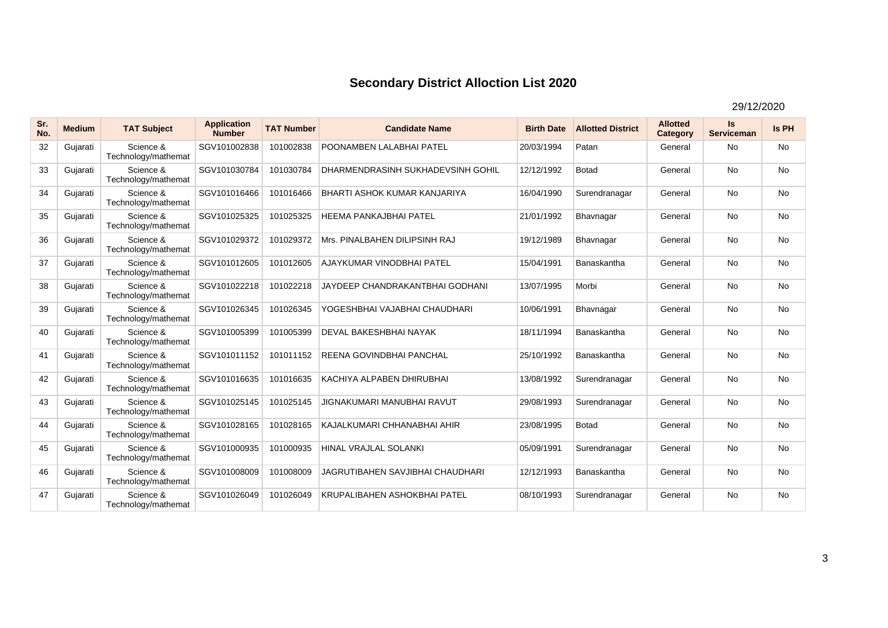| Sr.<br>No. | <b>Medium</b> | <b>TAT Subject</b>               | <b>Application</b><br><b>Number</b> | <b>TAT Number</b> | <b>Candidate Name</b>               | <b>Birth Date</b> | <b>Allotted District</b> | <b>Allotted</b><br>Category | <b>Is</b><br><b>Serviceman</b> | Is PH     |
|------------|---------------|----------------------------------|-------------------------------------|-------------------|-------------------------------------|-------------------|--------------------------|-----------------------------|--------------------------------|-----------|
| 32         | Gujarati      | Science &<br>Technology/mathemat | SGV101002838                        | 101002838         | POONAMBEN LALABHAI PATEL            | 20/03/1994        | Patan                    | General                     | <b>No</b>                      | <b>No</b> |
| 33         | Gujarati      | Science &<br>Technology/mathemat | SGV101030784                        | 101030784         | DHARMENDRASINH SUKHADEVSINH GOHIL   | 12/12/1992        | <b>Botad</b>             | General                     | No                             | No        |
| 34         | Gujarati      | Science &<br>Technology/mathemat | SGV101016466                        | 101016466         | <b>BHARTI ASHOK KUMAR KANJARIYA</b> | 16/04/1990        | Surendranagar            | General                     | <b>No</b>                      | <b>No</b> |
| 35         | Gujarati      | Science &<br>Technology/mathemat | SGV101025325                        | 101025325         | <b>HEEMA PANKAJBHAI PATEL</b>       | 21/01/1992        | Bhavnagar                | General                     | No                             | <b>No</b> |
| 36         | Gujarati      | Science &<br>Technology/mathemat | SGV101029372                        | 101029372         | Mrs. PINALBAHEN DILIPSINH RAJ       | 19/12/1989        | Bhavnagar                | General                     | <b>No</b>                      | <b>No</b> |
| 37         | Gujarati      | Science &<br>Technology/mathemat | SGV101012605                        | 101012605         | AJAYKUMAR VINODBHAI PATEL           | 15/04/1991        | Banaskantha              | General                     | <b>No</b>                      | No        |
| 38         | Gujarati      | Science &<br>Technology/mathemat | SGV101022218                        | 101022218         | JAYDEEP CHANDRAKANTBHAI GODHANI     | 13/07/1995        | Morbi                    | General                     | <b>No</b>                      | <b>No</b> |
| 39         | Gujarati      | Science &<br>Technology/mathemat | SGV101026345                        | 101026345         | YOGESHBHAI VAJABHAI CHAUDHARI       | 10/06/1991        | Bhavnagar                | General                     | <b>No</b>                      | <b>No</b> |
| 40         | Gujarati      | Science &<br>Technology/mathemat | SGV101005399                        | 101005399         | DEVAL BAKESHBHAI NAYAK              | 18/11/1994        | Banaskantha              | General                     | <b>No</b>                      | <b>No</b> |
| 41         | Gujarati      | Science &<br>Technology/mathemat | SGV101011152                        | 101011152         | REENA GOVINDBHAI PANCHAL            | 25/10/1992        | Banaskantha              | General                     | <b>No</b>                      | <b>No</b> |
| 42         | Gujarati      | Science &<br>Technology/mathemat | SGV101016635                        | 101016635         | KACHIYA ALPABEN DHIRUBHAI           | 13/08/1992        | Surendranagar            | General                     | <b>No</b>                      | <b>No</b> |
| 43         | Gujarati      | Science &<br>Technology/mathemat | SGV101025145                        | 101025145         | JIGNAKUMARI MANUBHAI RAVUT          | 29/08/1993        | Surendranagar            | General                     | <b>No</b>                      | <b>No</b> |
| 44         | Gujarati      | Science &<br>Technology/mathemat | SGV101028165                        | 101028165         | KAJALKUMARI CHHANABHAI AHIR         | 23/08/1995        | Botad                    | General                     | <b>No</b>                      | <b>No</b> |
| 45         | Gujarati      | Science &<br>Technology/mathemat | SGV101000935                        | 101000935         | <b>HINAL VRAJLAL SOLANKI</b>        | 05/09/1991        | Surendranagar            | General                     | <b>No</b>                      | <b>No</b> |
| 46         | Gujarati      | Science &<br>Technology/mathemat | SGV101008009                        | 101008009         | JAGRUTIBAHEN SAVJIBHAI CHAUDHARI    | 12/12/1993        | Banaskantha              | General                     | <b>No</b>                      | <b>No</b> |
| 47         | Gujarati      | Science &<br>Technology/mathemat | SGV101026049                        | 101026049         | KRUPALIBAHEN ASHOKBHAI PATEL        | 08/10/1993        | Surendranagar            | General                     | <b>No</b>                      | <b>No</b> |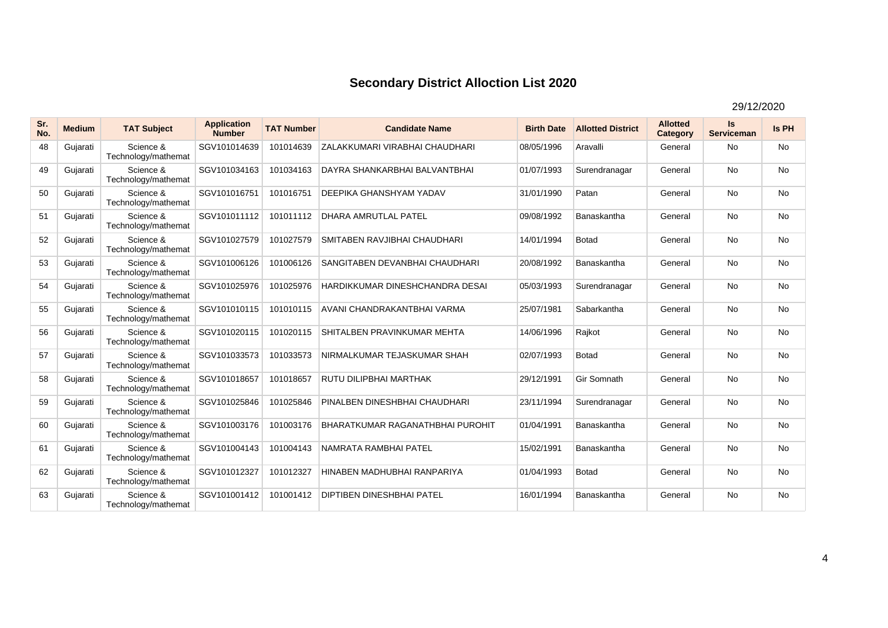| Sr.<br>No. | <b>Medium</b> | <b>TAT Subject</b>               | <b>Application</b><br><b>Number</b> | <b>TAT Number</b> | <b>Candidate Name</b>                   | <b>Birth Date</b> | <b>Allotted District</b> | <b>Allotted</b><br>Category | Is<br><b>Serviceman</b> | Is PH     |
|------------|---------------|----------------------------------|-------------------------------------|-------------------|-----------------------------------------|-------------------|--------------------------|-----------------------------|-------------------------|-----------|
| 48         | Gujarati      | Science &<br>Technology/mathemat | SGV101014639                        | 101014639         | ZALAKKUMARI VIRABHAI CHAUDHARI          | 08/05/1996        | Aravalli                 | General                     | <b>No</b>               | <b>No</b> |
| 49         | Gujarati      | Science &<br>Technology/mathemat | SGV101034163                        | 101034163         | DAYRA SHANKARBHAI BALVANTBHAI           | 01/07/1993        | Surendranagar            | General                     | <b>No</b>               | No        |
| 50         | Gujarati      | Science &<br>Technology/mathemat | SGV101016751                        | 101016751         | <b>DEEPIKA GHANSHYAM YADAV</b>          | 31/01/1990        | Patan                    | General                     | <b>No</b>               | <b>No</b> |
| 51         | Gujarati      | Science &<br>Technology/mathemat | SGV101011112                        | 101011112         | <b>DHARA AMRUTLAL PATEL</b>             | 09/08/1992        | Banaskantha              | General                     | <b>No</b>               | No        |
| 52         | Gujarati      | Science &<br>Technology/mathemat | SGV101027579                        | 101027579         | SMITABEN RAVJIBHAI CHAUDHARI            | 14/01/1994        | <b>Botad</b>             | General                     | <b>No</b>               | <b>No</b> |
| 53         | Gujarati      | Science &<br>Technology/mathemat | SGV101006126                        | 101006126         | SANGITABEN DEVANBHAI CHAUDHARI          | 20/08/1992        | Banaskantha              | General                     | <b>No</b>               | <b>No</b> |
| 54         | Gujarati      | Science &<br>Technology/mathemat | SGV101025976                        | 101025976         | HARDIKKUMAR DINESHCHANDRA DESAI         | 05/03/1993        | Surendranagar            | General                     | <b>No</b>               | <b>No</b> |
| 55         | Gujarati      | Science &<br>Technology/mathemat | SGV101010115                        | 101010115         | AVANI CHANDRAKANTBHAI VARMA             | 25/07/1981        | Sabarkantha              | General                     | <b>No</b>               | <b>No</b> |
| 56         | Gujarati      | Science &<br>Technology/mathemat | SGV101020115                        | 101020115         | SHITALBEN PRAVINKUMAR MEHTA             | 14/06/1996        | Rajkot                   | General                     | <b>No</b>               | No        |
| 57         | Gujarati      | Science &<br>Technology/mathemat | SGV101033573                        | 101033573         | NIRMALKUMAR TEJASKUMAR SHAH             | 02/07/1993        | <b>Botad</b>             | General                     | <b>No</b>               | No        |
| 58         | Gujarati      | Science &<br>Technology/mathemat | SGV101018657                        | 101018657         | <b>RUTU DILIPBHAI MARTHAK</b>           | 29/12/1991        | Gir Somnath              | General                     | <b>No</b>               | <b>No</b> |
| 59         | Gujarati      | Science &<br>Technology/mathemat | SGV101025846                        | 101025846         | PINALBEN DINESHBHAI CHAUDHARI           | 23/11/1994        | Surendranagar            | General                     | <b>No</b>               | <b>No</b> |
| 60         | Gujarati      | Science &<br>Technology/mathemat | SGV101003176                        | 101003176         | <b>BHARATKUMAR RAGANATHBHAI PUROHIT</b> | 01/04/1991        | Banaskantha              | General                     | <b>No</b>               | <b>No</b> |
| 61         | Gujarati      | Science &<br>Technology/mathemat | SGV101004143                        | 101004143         | NAMRATA RAMBHAI PATEL                   | 15/02/1991        | Banaskantha              | General                     | <b>No</b>               | <b>No</b> |
| 62         | Gujarati      | Science &<br>Technology/mathemat | SGV101012327                        | 101012327         | HINABEN MADHUBHAI RANPARIYA             | 01/04/1993        | <b>Botad</b>             | General                     | <b>No</b>               | No        |
| 63         | Gujarati      | Science &<br>Technology/mathemat | SGV101001412                        | 101001412         | <b>DIPTIBEN DINESHBHAI PATEL</b>        | 16/01/1994        | Banaskantha              | General                     | <b>No</b>               | <b>No</b> |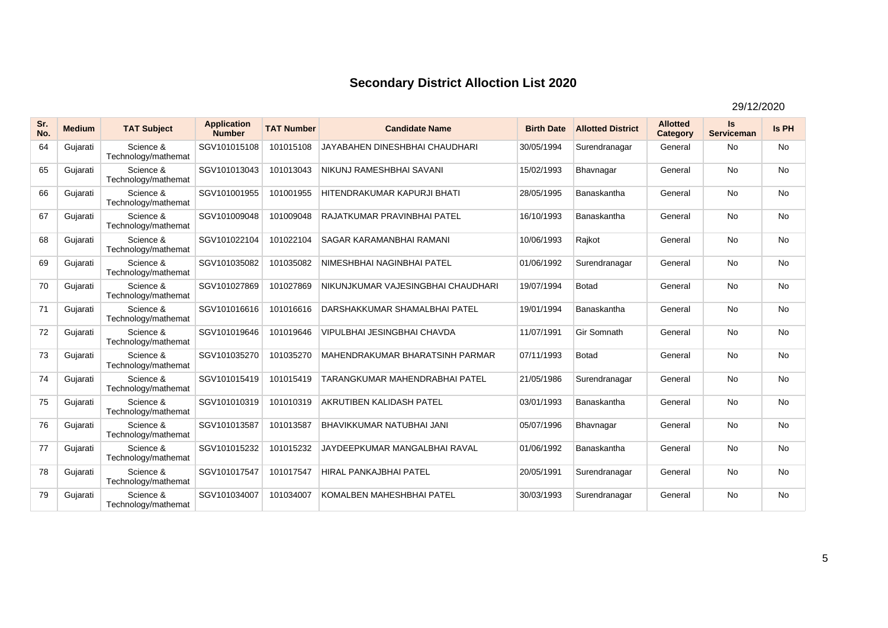| Sr.<br>No. | <b>Medium</b> | <b>TAT Subject</b>               | <b>Application</b><br><b>Number</b> | <b>TAT Number</b> | <b>Candidate Name</b>                 | <b>Birth Date</b> | <b>Allotted District</b> | <b>Allotted</b><br>Category | Is<br><b>Serviceman</b> | Is PH     |
|------------|---------------|----------------------------------|-------------------------------------|-------------------|---------------------------------------|-------------------|--------------------------|-----------------------------|-------------------------|-----------|
| 64         | Gujarati      | Science &<br>Technology/mathemat | SGV101015108                        | 101015108         | <b>JAYABAHEN DINESHBHAI CHAUDHARI</b> | 30/05/1994        | Surendranagar            | General                     | No                      | <b>No</b> |
| 65         | Gujarati      | Science &<br>Technology/mathemat | SGV101013043                        | 101013043         | NIKUNJ RAMESHBHAI SAVANI              | 15/02/1993        | Bhavnagar                | General                     | <b>No</b>               | <b>No</b> |
| 66         | Gujarati      | Science &<br>Technology/mathemat | SGV101001955                        | 101001955         | HITENDRAKUMAR KAPURJI BHATI           | 28/05/1995        | Banaskantha              | General                     | <b>No</b>               | No        |
| 67         | Gujarati      | Science &<br>Technology/mathemat | SGV101009048                        | 101009048         | RAJATKUMAR PRAVINBHAI PATEL           | 16/10/1993        | Banaskantha              | General                     | <b>No</b>               | No        |
| 68         | Gujarati      | Science &<br>Technology/mathemat | SGV101022104                        | 101022104         | <b>SAGAR KARAMANBHAI RAMANI</b>       | 10/06/1993        | Rajkot                   | General                     | <b>No</b>               | No        |
| 69         | Gujarati      | Science &<br>Technology/mathemat | SGV101035082                        | 101035082         | NIMESHBHAI NAGINBHAI PATEL            | 01/06/1992        | Surendranagar            | General                     | <b>No</b>               | <b>No</b> |
| 70         | Gujarati      | Science &<br>Technology/mathemat | SGV101027869                        | 101027869         | NIKUNJKUMAR VAJESINGBHAI CHAUDHARI    | 19/07/1994        | <b>Botad</b>             | General                     | No                      | No        |
| 71         | Gujarati      | Science &<br>Technology/mathemat | SGV101016616                        | 101016616         | DARSHAKKUMAR SHAMALBHAI PATEL         | 19/01/1994        | Banaskantha              | General                     | <b>No</b>               | No        |
| 72         | Gujarati      | Science &<br>Technology/mathemat | SGV101019646                        | 101019646         | <b>VIPULBHAI JESINGBHAI CHAVDA</b>    | 11/07/1991        | Gir Somnath              | General                     | <b>No</b>               | <b>No</b> |
| 73         | Gujarati      | Science &<br>Technology/mathemat | SGV101035270                        | 101035270         | MAHENDRAKUMAR BHARATSINH PARMAR       | 07/11/1993        | Botad                    | General                     | <b>No</b>               | No        |
| 74         | Gujarati      | Science &<br>Technology/mathemat | SGV101015419                        | 101015419         | TARANGKUMAR MAHENDRABHAI PATEL        | 21/05/1986        | Surendranagar            | General                     | <b>No</b>               | <b>No</b> |
| 75         | Gujarati      | Science &<br>Technology/mathemat | SGV101010319                        | 101010319         | AKRUTIBEN KALIDASH PATEL              | 03/01/1993        | Banaskantha              | General                     | <b>No</b>               | No        |
| 76         | Gujarati      | Science &<br>Technology/mathemat | SGV101013587                        | 101013587         | <b>BHAVIKKUMAR NATUBHAI JANI</b>      | 05/07/1996        | Bhavnagar                | General                     | <b>No</b>               | <b>No</b> |
| 77         | Gujarati      | Science &<br>Technology/mathemat | SGV101015232                        | 101015232         | JAYDEEPKUMAR MANGALBHAI RAVAL         | 01/06/1992        | Banaskantha              | General                     | <b>No</b>               | No        |
| 78         | Gujarati      | Science &<br>Technology/mathemat | SGV101017547                        | 101017547         | HIRAL PANKAJBHAI PATEL                | 20/05/1991        | Surendranagar            | General                     | <b>No</b>               | No        |
| 79         | Gujarati      | Science &<br>Technology/mathemat | SGV101034007                        | 101034007         | KOMALBEN MAHESHBHAI PATEL             | 30/03/1993        | Surendranagar            | General                     | <b>No</b>               | <b>No</b> |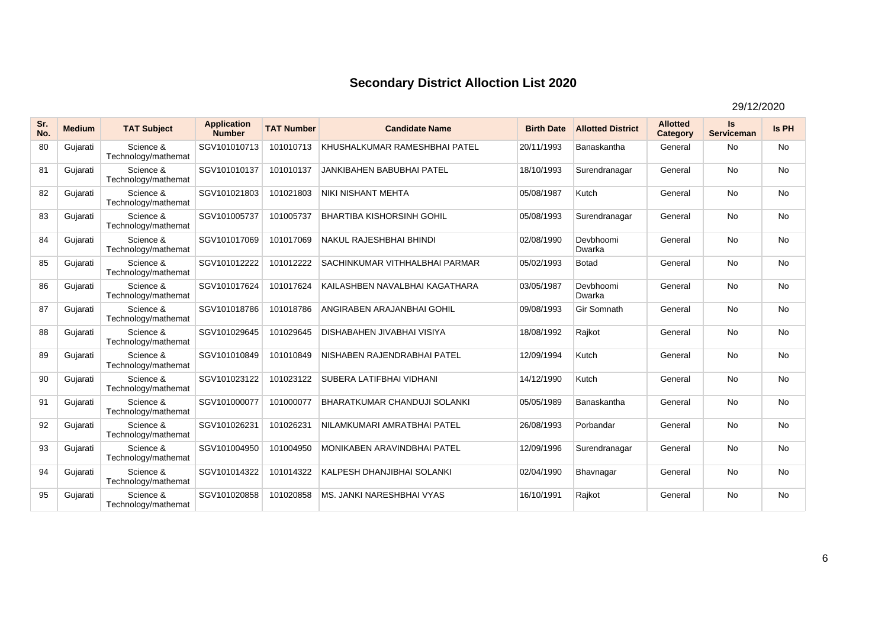| Sr.<br>No. | <b>Medium</b> | <b>TAT Subject</b>               | <b>Application</b><br><b>Number</b> | <b>TAT Number</b> | <b>Candidate Name</b>               | <b>Birth Date</b> | <b>Allotted District</b> | <b>Allotted</b><br>Category | <b>Is</b><br><b>Serviceman</b> | Is PH     |
|------------|---------------|----------------------------------|-------------------------------------|-------------------|-------------------------------------|-------------------|--------------------------|-----------------------------|--------------------------------|-----------|
| 80         | Gujarati      | Science &<br>Technology/mathemat | SGV101010713                        | 101010713         | KHUSHALKUMAR RAMESHBHAI PATEL       | 20/11/1993        | Banaskantha              | General                     | <b>No</b>                      | <b>No</b> |
| 81         | Gujarati      | Science &<br>Technology/mathemat | SGV101010137                        | 101010137         | <b>JANKIBAHEN BABUBHAI PATEL</b>    | 18/10/1993        | Surendranagar            | General                     | <b>No</b>                      | <b>No</b> |
| 82         | Gujarati      | Science &<br>Technology/mathemat | SGV101021803                        | 101021803         | NIKI NISHANT MEHTA                  | 05/08/1987        | Kutch                    | General                     | <b>No</b>                      | <b>No</b> |
| 83         | Gujarati      | Science &<br>Technology/mathemat | SGV101005737                        | 101005737         | <b>BHARTIBA KISHORSINH GOHIL</b>    | 05/08/1993        | Surendranagar            | General                     | <b>No</b>                      | <b>No</b> |
| 84         | Gujarati      | Science &<br>Technology/mathemat | SGV101017069                        | 101017069         | NAKUL RAJESHBHAI BHINDI             | 02/08/1990        | Devbhoomi<br>Dwarka      | General                     | <b>No</b>                      | <b>No</b> |
| 85         | Gujarati      | Science &<br>Technology/mathemat | SGV101012222                        | 101012222         | SACHINKUMAR VITHHALBHAI PARMAR      | 05/02/1993        | <b>Botad</b>             | General                     | <b>No</b>                      | <b>No</b> |
| 86         | Gujarati      | Science &<br>Technology/mathemat | SGV101017624                        | 101017624         | KAILASHBEN NAVALBHAI KAGATHARA      | 03/05/1987        | Devbhoomi<br>Dwarka      | General                     | <b>No</b>                      | <b>No</b> |
| 87         | Gujarati      | Science &<br>Technology/mathemat | SGV101018786                        | 101018786         | ANGIRABEN ARAJANBHAI GOHIL          | 09/08/1993        | Gir Somnath              | General                     | <b>No</b>                      | <b>No</b> |
| 88         | Gujarati      | Science &<br>Technology/mathemat | SGV101029645                        | 101029645         | <b>DISHABAHEN JIVABHAI VISIYA</b>   | 18/08/1992        | Rajkot                   | General                     | <b>No</b>                      | <b>No</b> |
| 89         | Gujarati      | Science &<br>Technology/mathemat | SGV101010849                        | 101010849         | NISHABEN RAJENDRABHAI PATEL         | 12/09/1994        | Kutch                    | General                     | No                             | No        |
| 90         | Gujarati      | Science &<br>Technology/mathemat | SGV101023122                        | 101023122         | SUBERA LATIFBHAI VIDHANI            | 14/12/1990        | Kutch                    | General                     | <b>No</b>                      | <b>No</b> |
| 91         | Gujarati      | Science &<br>Technology/mathemat | SGV101000077                        | 101000077         | <b>BHARATKUMAR CHANDUJI SOLANKI</b> | 05/05/1989        | Banaskantha              | General                     | <b>No</b>                      | <b>No</b> |
| 92         | Gujarati      | Science &<br>Technology/mathemat | SGV101026231                        | 101026231         | NILAMKUMARI AMRATBHAI PATEL         | 26/08/1993        | Porbandar                | General                     | <b>No</b>                      | <b>No</b> |
| 93         | Gujarati      | Science &<br>Technology/mathemat | SGV101004950                        | 101004950         | MONIKABEN ARAVINDBHAI PATEL         | 12/09/1996        | Surendranagar            | General                     | <b>No</b>                      | <b>No</b> |
| 94         | Gujarati      | Science &<br>Technology/mathemat | SGV101014322                        | 101014322         | KALPESH DHANJIBHAI SOLANKI          | 02/04/1990        | Bhavnagar                | General                     | <b>No</b>                      | <b>No</b> |
| 95         | Gujarati      | Science &<br>Technology/mathemat | SGV101020858                        | 101020858         | MS. JANKI NARESHBHAI VYAS           | 16/10/1991        | Rajkot                   | General                     | <b>No</b>                      | <b>No</b> |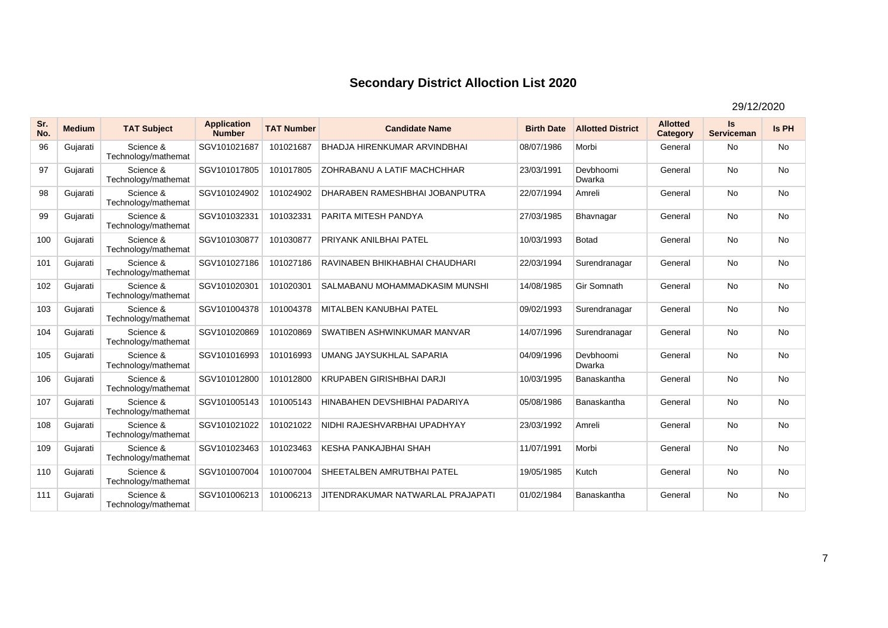| Sr.<br>No. | <b>Medium</b> | <b>TAT Subject</b>               | <b>Application</b><br><b>Number</b> | <b>TAT Number</b> | <b>Candidate Name</b>               | <b>Birth Date</b> | <b>Allotted District</b> | <b>Allotted</b><br>Category | Is<br><b>Serviceman</b> | Is PH     |
|------------|---------------|----------------------------------|-------------------------------------|-------------------|-------------------------------------|-------------------|--------------------------|-----------------------------|-------------------------|-----------|
| 96         | Gujarati      | Science &<br>Technology/mathemat | SGV101021687                        | 101021687         | <b>BHADJA HIRENKUMAR ARVINDBHAI</b> | 08/07/1986        | Morbi                    | General                     | No.                     | <b>No</b> |
| 97         | Gujarati      | Science &<br>Technology/mathemat | SGV101017805                        | 101017805         | ZOHRABANU A LATIF MACHCHHAR         | 23/03/1991        | Devbhoomi<br>Dwarka      | General                     | <b>No</b>               | No        |
| 98         | Gujarati      | Science &<br>Technology/mathemat | SGV101024902                        | 101024902         | DHARABEN RAMESHBHAI JOBANPUTRA      | 22/07/1994        | Amreli                   | General                     | <b>No</b>               | <b>No</b> |
| 99         | Gujarati      | Science &<br>Technology/mathemat | SGV101032331                        | 101032331         | PARITA MITESH PANDYA                | 27/03/1985        | Bhavnagar                | General                     | <b>No</b>               | No        |
| 100        | Gujarati      | Science &<br>Technology/mathemat | SGV101030877                        | 101030877         | <b>PRIYANK ANILBHAI PATEL</b>       | 10/03/1993        | <b>Botad</b>             | General                     | <b>No</b>               | <b>No</b> |
| 101        | Gujarati      | Science &<br>Technology/mathemat | SGV101027186                        | 101027186         | RAVINABEN BHIKHABHAI CHAUDHARI      | 22/03/1994        | Surendranagar            | General                     | <b>No</b>               | <b>No</b> |
| 102        | Gujarati      | Science &<br>Technology/mathemat | SGV101020301                        | 101020301         | SALMABANU MOHAMMADKASIM MUNSHI      | 14/08/1985        | Gir Somnath              | General                     | <b>No</b>               | <b>No</b> |
| 103        | Gujarati      | Science &<br>Technology/mathemat | SGV101004378                        | 101004378         | <b>MITALBEN KANUBHAI PATEL</b>      | 09/02/1993        | Surendranagar            | General                     | <b>No</b>               | <b>No</b> |
| 104        | Gujarati      | Science &<br>Technology/mathemat | SGV101020869                        | 101020869         | SWATIBEN ASHWINKUMAR MANVAR         | 14/07/1996        | Surendranagar            | General                     | <b>No</b>               | <b>No</b> |
| 105        | Gujarati      | Science &<br>Technology/mathemat | SGV101016993                        | 101016993         | UMANG JAYSUKHLAL SAPARIA            | 04/09/1996        | Devbhoomi<br>Dwarka      | General                     | <b>No</b>               | No        |
| 106        | Gujarati      | Science &<br>Technology/mathemat | SGV101012800                        | 101012800         | <b>KRUPABEN GIRISHBHAI DARJI</b>    | 10/03/1995        | Banaskantha              | General                     | <b>No</b>               | <b>No</b> |
| 107        | Gujarati      | Science &<br>Technology/mathemat | SGV101005143                        | 101005143         | HINABAHEN DEVSHIBHAI PADARIYA       | 05/08/1986        | Banaskantha              | General                     | <b>No</b>               | <b>No</b> |
| 108        | Gujarati      | Science &<br>Technology/mathemat | SGV101021022                        | 101021022         | NIDHI RAJESHVARBHAI UPADHYAY        | 23/03/1992        | Amreli                   | General                     | <b>No</b>               | <b>No</b> |
| 109        | Gujarati      | Science &<br>Technology/mathemat | SGV101023463                        | 101023463         | KESHA PANKAJBHAI SHAH               | 11/07/1991        | Morbi                    | General                     | <b>No</b>               | <b>No</b> |
| 110        | Gujarati      | Science &<br>Technology/mathemat | SGV101007004                        | 101007004         | SHEETALBEN AMRUTBHAI PATEL          | 19/05/1985        | Kutch                    | General                     | <b>No</b>               | No        |
| 111        | Gujarati      | Science &<br>Technology/mathemat | SGV101006213                        | 101006213         | JITENDRAKUMAR NATWARLAL PRAJAPATI   | 01/02/1984        | Banaskantha              | General                     | <b>No</b>               | <b>No</b> |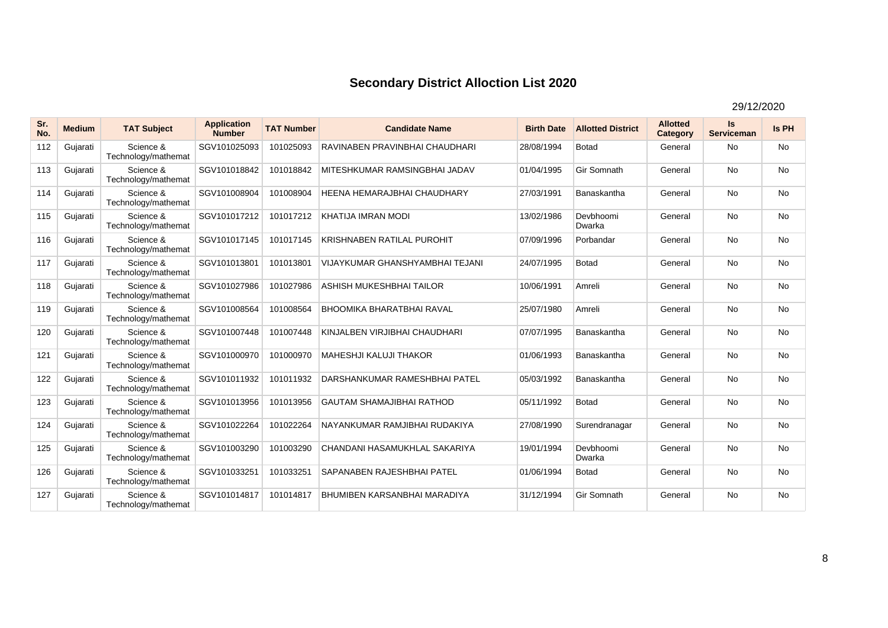| Sr.<br>No. | <b>Medium</b> | <b>TAT Subject</b>               | <b>Application</b><br><b>Number</b> | <b>TAT Number</b> | <b>Candidate Name</b>              | <b>Birth Date</b> | <b>Allotted District</b> | <b>Allotted</b><br>Category | <b>Is</b><br><b>Serviceman</b> | Is PH     |
|------------|---------------|----------------------------------|-------------------------------------|-------------------|------------------------------------|-------------------|--------------------------|-----------------------------|--------------------------------|-----------|
| 112        | Gujarati      | Science &<br>Technology/mathemat | SGV101025093                        | 101025093         | RAVINABEN PRAVINBHAI CHAUDHARI     | 28/08/1994        | Botad                    | General                     | <b>No</b>                      | <b>No</b> |
| 113        | Gujarati      | Science &<br>Technology/mathemat | SGV101018842                        | 101018842         | MITESHKUMAR RAMSINGBHAI JADAV      | 01/04/1995        | Gir Somnath              | General                     | <b>No</b>                      | <b>No</b> |
| 114        | Gujarati      | Science &<br>Technology/mathemat | SGV101008904                        | 101008904         | <b>HEENA HEMARAJBHAI CHAUDHARY</b> | 27/03/1991        | Banaskantha              | General                     | <b>No</b>                      | <b>No</b> |
| 115        | Gujarati      | Science &<br>Technology/mathemat | SGV101017212                        | 101017212         | KHATIJA IMRAN MODI                 | 13/02/1986        | Devbhoomi<br>Dwarka      | General                     | <b>No</b>                      | <b>No</b> |
| 116        | Gujarati      | Science &<br>Technology/mathemat | SGV101017145                        | 101017145         | <b>KRISHNABEN RATILAL PUROHIT</b>  | 07/09/1996        | Porbandar                | General                     | <b>No</b>                      | <b>No</b> |
| 117        | Gujarati      | Science &<br>Technology/mathemat | SGV101013801                        | 101013801         | VIJAYKUMAR GHANSHYAMBHAI TEJANI    | 24/07/1995        | <b>Botad</b>             | General                     | <b>No</b>                      | <b>No</b> |
| 118        | Gujarati      | Science &<br>Technology/mathemat | SGV101027986                        | 101027986         | ASHISH MUKESHBHAI TAILOR           | 10/06/1991        | Amreli                   | General                     | <b>No</b>                      | <b>No</b> |
| 119        | Gujarati      | Science &<br>Technology/mathemat | SGV101008564                        | 101008564         | <b>BHOOMIKA BHARATBHAI RAVAL</b>   | 25/07/1980        | Amreli                   | General                     | <b>No</b>                      | <b>No</b> |
| 120        | Gujarati      | Science &<br>Technology/mathemat | SGV101007448                        | 101007448         | KINJALBEN VIRJIBHAI CHAUDHARI      | 07/07/1995        | Banaskantha              | General                     | <b>No</b>                      | <b>No</b> |
| 121        | Gujarati      | Science &<br>Technology/mathemat | SGV101000970                        | 101000970         | <b>MAHESHJI KALUJI THAKOR</b>      | 01/06/1993        | Banaskantha              | General                     | <b>No</b>                      | <b>No</b> |
| 122        | Gujarati      | Science &<br>Technology/mathemat | SGV101011932                        | 101011932         | DARSHANKUMAR RAMESHBHAI PATEL      | 05/03/1992        | Banaskantha              | General                     | <b>No</b>                      | <b>No</b> |
| 123        | Gujarati      | Science &<br>Technology/mathemat | SGV101013956                        | 101013956         | <b>GAUTAM SHAMAJIBHAI RATHOD</b>   | 05/11/1992        | <b>Botad</b>             | General                     | <b>No</b>                      | <b>No</b> |
| 124        | Gujarati      | Science &<br>Technology/mathemat | SGV101022264                        | 101022264         | NAYANKUMAR RAMJIBHAI RUDAKIYA      | 27/08/1990        | Surendranagar            | General                     | <b>No</b>                      | <b>No</b> |
| 125        | Gujarati      | Science &<br>Technology/mathemat | SGV101003290                        | 101003290         | CHANDANI HASAMUKHLAL SAKARIYA      | 19/01/1994        | Devbhoomi<br>Dwarka      | General                     | <b>No</b>                      | <b>No</b> |
| 126        | Gujarati      | Science &<br>Technology/mathemat | SGV101033251                        | 101033251         | SAPANABEN RAJESHBHAI PATEL         | 01/06/1994        | <b>Botad</b>             | General                     | No                             | No        |
| 127        | Gujarati      | Science &<br>Technology/mathemat | SGV101014817                        | 101014817         | BHUMIBEN KARSANBHAI MARADIYA       | 31/12/1994        | Gir Somnath              | General                     | <b>No</b>                      | <b>No</b> |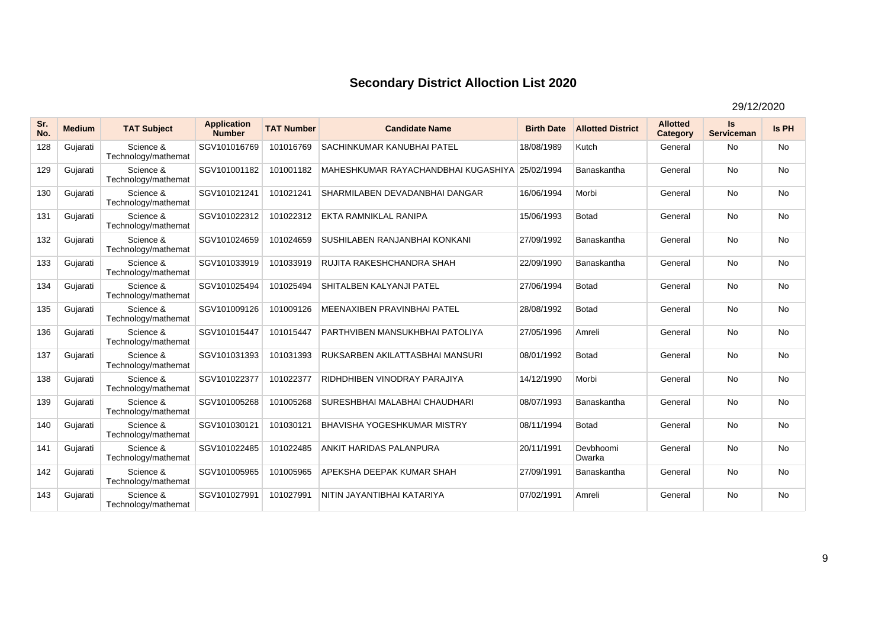| Sr.<br>No. | <b>Medium</b> | <b>TAT Subject</b>               | <b>Application</b><br><b>Number</b> | <b>TAT Number</b> | <b>Candidate Name</b>                          | <b>Birth Date</b> | <b>Allotted District</b> | <b>Allotted</b><br>Category | Is<br><b>Serviceman</b> | Is PH     |
|------------|---------------|----------------------------------|-------------------------------------|-------------------|------------------------------------------------|-------------------|--------------------------|-----------------------------|-------------------------|-----------|
| 128        | Gujarati      | Science &<br>Technology/mathemat | SGV101016769                        | 101016769         | <b>SACHINKUMAR KANUBHAI PATEL</b>              | 18/08/1989        | Kutch                    | General                     | <b>No</b>               | <b>No</b> |
| 129        | Gujarati      | Science &<br>Technology/mathemat | SGV101001182                        | 101001182         | MAHESHKUMAR RAYACHANDBHAI KUGASHIYA 25/02/1994 |                   | Banaskantha              | General                     | <b>No</b>               | <b>No</b> |
| 130        | Gujarati      | Science &<br>Technology/mathemat | SGV101021241                        | 101021241         | SHARMILABEN DEVADANBHAI DANGAR                 | 16/06/1994        | Morbi                    | General                     | No                      | <b>No</b> |
| 131        | Gujarati      | Science &<br>Technology/mathemat | SGV101022312                        | 101022312         | EKTA RAMNIKLAL RANIPA                          | 15/06/1993        | <b>Botad</b>             | General                     | <b>No</b>               | <b>No</b> |
| 132        | Gujarati      | Science &<br>Technology/mathemat | SGV101024659                        | 101024659         | SUSHILABEN RANJANBHAI KONKANI                  | 27/09/1992        | Banaskantha              | General                     | <b>No</b>               | <b>No</b> |
| 133        | Gujarati      | Science &<br>Technology/mathemat | SGV101033919                        | 101033919         | <b>RUJITA RAKESHCHANDRA SHAH</b>               | 22/09/1990        | Banaskantha              | General                     | No                      | No        |
| 134        | Gujarati      | Science &<br>Technology/mathemat | SGV101025494                        | 101025494         | <b>SHITALBEN KALYANJI PATEL</b>                | 27/06/1994        | Botad                    | General                     | <b>No</b>               | <b>No</b> |
| 135        | Gujarati      | Science &<br>Technology/mathemat | SGV101009126                        | 101009126         | <b>MEENAXIBEN PRAVINBHAI PATEL</b>             | 28/08/1992        | <b>Botad</b>             | General                     | <b>No</b>               | <b>No</b> |
| 136        | Gujarati      | Science &<br>Technology/mathemat | SGV101015447                        | 101015447         | PARTHVIBEN MANSUKHBHAI PATOLIYA                | 27/05/1996        | Amreli                   | General                     | No                      | <b>No</b> |
| 137        | Gujarati      | Science &<br>Technology/mathemat | SGV101031393                        | 101031393         | RUKSARBEN AKILATTASBHAI MANSURI                | 08/01/1992        | <b>Botad</b>             | General                     | <b>No</b>               | <b>No</b> |
| 138        | Gujarati      | Science &<br>Technology/mathemat | SGV101022377                        | 101022377         | RIDHDHIBEN VINODRAY PARAJIYA                   | 14/12/1990        | Morbi                    | General                     | <b>No</b>               | <b>No</b> |
| 139        | Gujarati      | Science &<br>Technology/mathemat | SGV101005268                        | 101005268         | SURESHBHAI MALABHAI CHAUDHARI                  | 08/07/1993        | Banaskantha              | General                     | <b>No</b>               | <b>No</b> |
| 140        | Gujarati      | Science &<br>Technology/mathemat | SGV101030121                        | 101030121         | <b>BHAVISHA YOGESHKUMAR MISTRY</b>             | 08/11/1994        | <b>Botad</b>             | General                     | <b>No</b>               | <b>No</b> |
| 141        | Gujarati      | Science &<br>Technology/mathemat | SGV101022485                        | 101022485         | <b>ANKIT HARIDAS PALANPURA</b>                 | 20/11/1991        | Devbhoomi<br>Dwarka      | General                     | <b>No</b>               | <b>No</b> |
| 142        | Gujarati      | Science &<br>Technology/mathemat | SGV101005965                        | 101005965         | APEKSHA DEEPAK KUMAR SHAH                      | 27/09/1991        | Banaskantha              | General                     | <b>No</b>               | No        |
| 143        | Gujarati      | Science &<br>Technology/mathemat | SGV101027991                        | 101027991         | NITIN JAYANTIBHAI KATARIYA                     | 07/02/1991        | Amreli                   | General                     | <b>No</b>               | <b>No</b> |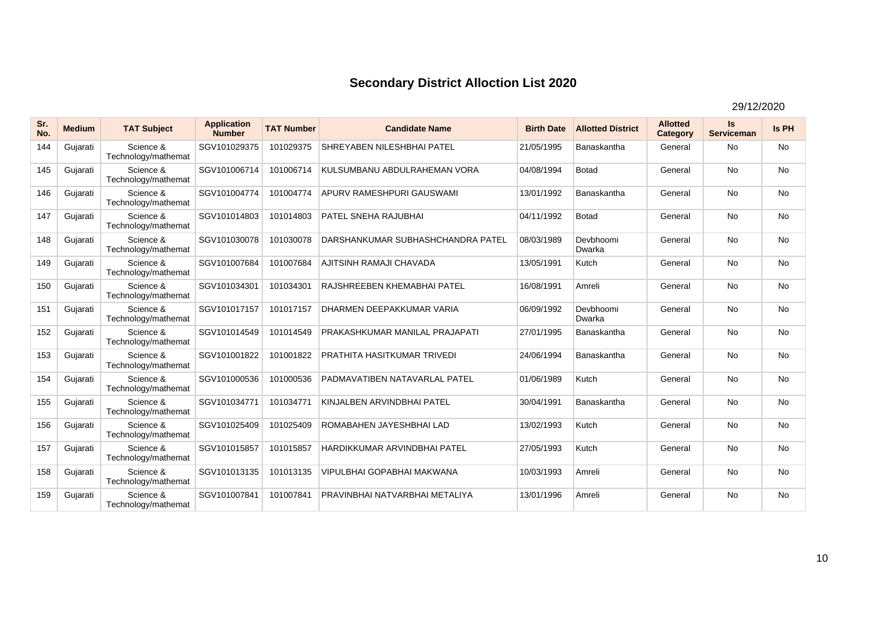| Sr.<br>No. | <b>Medium</b> | <b>TAT Subject</b>               | <b>Application</b><br><b>Number</b> | <b>TAT Number</b> | <b>Candidate Name</b>              | <b>Birth Date</b> | <b>Allotted District</b> | <b>Allotted</b><br>Category | Is<br><b>Serviceman</b> | Is PH     |
|------------|---------------|----------------------------------|-------------------------------------|-------------------|------------------------------------|-------------------|--------------------------|-----------------------------|-------------------------|-----------|
| 144        | Gujarati      | Science &<br>Technology/mathemat | SGV101029375                        | 101029375         | SHREYABEN NILESHBHAI PATEL         | 21/05/1995        | Banaskantha              | General                     | <b>No</b>               | <b>No</b> |
| 145        | Gujarati      | Science &<br>Technology/mathemat | SGV101006714                        | 101006714         | KULSUMBANU ABDULRAHEMAN VORA       | 04/08/1994        | <b>Botad</b>             | General                     | <b>No</b>               | <b>No</b> |
| 146        | Gujarati      | Science &<br>Technology/mathemat | SGV101004774                        | 101004774         | APURV RAMESHPURI GAUSWAMI          | 13/01/1992        | Banaskantha              | General                     | <b>No</b>               | No        |
| 147        | Gujarati      | Science &<br>Technology/mathemat | SGV101014803                        | 101014803         | PATEL SNEHA RAJUBHAI               | 04/11/1992        | <b>Botad</b>             | General                     | <b>No</b>               | <b>No</b> |
| 148        | Gujarati      | Science &<br>Technology/mathemat | SGV101030078                        | 101030078         | DARSHANKUMAR SUBHASHCHANDRA PATEL  | 08/03/1989        | Devbhoomi<br>Dwarka      | General                     | <b>No</b>               | No        |
| 149        | Gujarati      | Science &<br>Technology/mathemat | SGV101007684                        | 101007684         | AJITSINH RAMAJI CHAVADA            | 13/05/1991        | Kutch                    | General                     | <b>No</b>               | No        |
| 150        | Gujarati      | Science &<br>Technology/mathemat | SGV101034301                        | 101034301         | RAJSHREEBEN KHEMABHAI PATEL        | 16/08/1991        | Amreli                   | General                     | <b>No</b>               | <b>No</b> |
| 151        | Gujarati      | Science &<br>Technology/mathemat | SGV101017157                        | 101017157         | DHARMEN DEEPAKKUMAR VARIA          | 06/09/1992        | Devbhoomi<br>Dwarka      | General                     | <b>No</b>               | No        |
| 152        | Gujarati      | Science &<br>Technology/mathemat | SGV101014549                        | 101014549         | PRAKASHKUMAR MANILAL PRAJAPATI     | 27/01/1995        | Banaskantha              | General                     | <b>No</b>               | No        |
| 153        | Gujarati      | Science &<br>Technology/mathemat | SGV101001822                        | 101001822         | <b>PRATHITA HASITKUMAR TRIVEDI</b> | 24/06/1994        | Banaskantha              | General                     | <b>No</b>               | No        |
| 154        | Gujarati      | Science &<br>Technology/mathemat | SGV101000536                        | 101000536         | PADMAVATIBEN NATAVARLAL PATEL      | 01/06/1989        | Kutch                    | General                     | <b>No</b>               | No        |
| 155        | Gujarati      | Science &<br>Technology/mathemat | SGV101034771                        | 101034771         | KINJALBEN ARVINDBHAI PATEL         | 30/04/1991        | Banaskantha              | General                     | <b>No</b>               | <b>No</b> |
| 156        | Gujarati      | Science &<br>Technology/mathemat | SGV101025409                        | 101025409         | ROMABAHEN JAYESHBHAI LAD           | 13/02/1993        | Kutch                    | General                     | <b>No</b>               | No        |
| 157        | Gujarati      | Science &<br>Technology/mathemat | SGV101015857                        | 101015857         | HARDIKKUMAR ARVINDBHAI PATEL       | 27/05/1993        | Kutch                    | General                     | <b>No</b>               | <b>No</b> |
| 158        | Gujarati      | Science &<br>Technology/mathemat | SGV101013135                        | 101013135         | VIPULBHAI GOPABHAI MAKWANA         | 10/03/1993        | Amreli                   | General                     | No                      | No        |
| 159        | Gujarati      | Science &<br>Technology/mathemat | SGV101007841                        | 101007841         | PRAVINBHAI NATVARBHAI METALIYA     | 13/01/1996        | Amreli                   | General                     | <b>No</b>               | No        |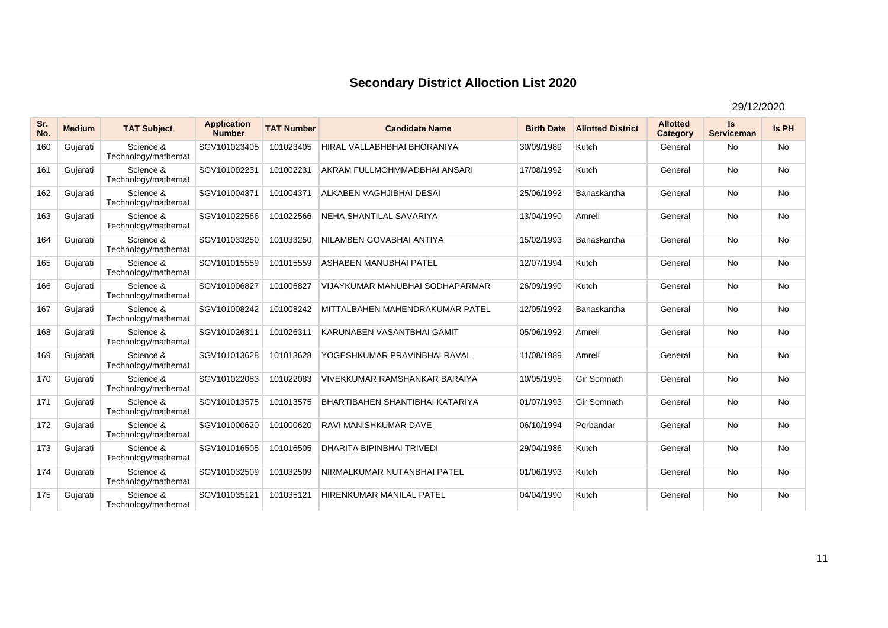| Sr.<br>No. | <b>Medium</b> | <b>TAT Subject</b>               | <b>Application</b><br><b>Number</b> | <b>TAT Number</b> | <b>Candidate Name</b>                  | <b>Birth Date</b> | <b>Allotted District</b> | <b>Allotted</b><br>Category | Is<br><b>Serviceman</b> | Is PH     |
|------------|---------------|----------------------------------|-------------------------------------|-------------------|----------------------------------------|-------------------|--------------------------|-----------------------------|-------------------------|-----------|
| 160        | Gujarati      | Science &<br>Technology/mathemat | SGV101023405                        | 101023405         | HIRAL VALLABHBHAI BHORANIYA            | 30/09/1989        | Kutch                    | General                     | <b>No</b>               | <b>No</b> |
| 161        | Gujarati      | Science &<br>Technology/mathemat | SGV101002231                        | 101002231         | AKRAM FULLMOHMMADBHAI ANSARI           | 17/08/1992        | Kutch                    | General                     | <b>No</b>               | <b>No</b> |
| 162        | Gujarati      | Science &<br>Technology/mathemat | SGV101004371                        | 101004371         | ALKABEN VAGHJIBHAI DESAI               | 25/06/1992        | Banaskantha              | General                     | <b>No</b>               | No        |
| 163        | Gujarati      | Science &<br>Technology/mathemat | SGV101022566                        | 101022566         | NEHA SHANTILAL SAVARIYA                | 13/04/1990        | Amreli                   | General                     | <b>No</b>               | <b>No</b> |
| 164        | Gujarati      | Science &<br>Technology/mathemat | SGV101033250                        | 101033250         | NILAMBEN GOVABHAI ANTIYA               | 15/02/1993        | Banaskantha              | General                     | <b>No</b>               | No        |
| 165        | Gujarati      | Science &<br>Technology/mathemat | SGV101015559                        | 101015559         | ASHABEN MANUBHAI PATEL                 | 12/07/1994        | Kutch                    | General                     | <b>No</b>               | No        |
| 166        | Gujarati      | Science &<br>Technology/mathemat | SGV101006827                        | 101006827         | VIJAYKUMAR MANUBHAI SODHAPARMAR        | 26/09/1990        | Kutch                    | General                     | <b>No</b>               | <b>No</b> |
| 167        | Gujarati      | Science &<br>Technology/mathemat | SGV101008242                        | 101008242         | MITTALBAHEN MAHENDRAKUMAR PATEL        | 12/05/1992        | Banaskantha              | General                     | <b>No</b>               | No        |
| 168        | Gujarati      | Science &<br>Technology/mathemat | SGV101026311                        | 101026311         | KARUNABEN VASANTBHAI GAMIT             | 05/06/1992        | Amreli                   | General                     | <b>No</b>               | No        |
| 169        | Gujarati      | Science &<br>Technology/mathemat | SGV101013628                        | 101013628         | YOGESHKUMAR PRAVINBHAI RAVAL           | 11/08/1989        | Amreli                   | General                     | <b>No</b>               | No        |
| 170        | Gujarati      | Science &<br>Technology/mathemat | SGV101022083                        | 101022083         | <b>VIVEKKUMAR RAMSHANKAR BARAIYA</b>   | 10/05/1995        | Gir Somnath              | General                     | <b>No</b>               | No        |
| 171        | Gujarati      | Science &<br>Technology/mathemat | SGV101013575                        | 101013575         | <b>BHARTIBAHEN SHANTIBHAI KATARIYA</b> | 01/07/1993        | Gir Somnath              | General                     | <b>No</b>               | <b>No</b> |
| 172        | Gujarati      | Science &<br>Technology/mathemat | SGV101000620                        | 101000620         | <b>RAVI MANISHKUMAR DAVE</b>           | 06/10/1994        | Porbandar                | General                     | <b>No</b>               | No        |
| 173        | Gujarati      | Science &<br>Technology/mathemat | SGV101016505                        | 101016505         | <b>DHARITA BIPINBHAI TRIVEDI</b>       | 29/04/1986        | Kutch                    | General                     | <b>No</b>               | <b>No</b> |
| 174        | Gujarati      | Science &<br>Technology/mathemat | SGV101032509                        | 101032509         | NIRMALKUMAR NUTANBHAI PATEL            | 01/06/1993        | Kutch                    | General                     | No                      | No        |
| 175        | Gujarati      | Science &<br>Technology/mathemat | SGV101035121                        | 101035121         | HIRENKUMAR MANILAL PATEL               | 04/04/1990        | Kutch                    | General                     | <b>No</b>               | No        |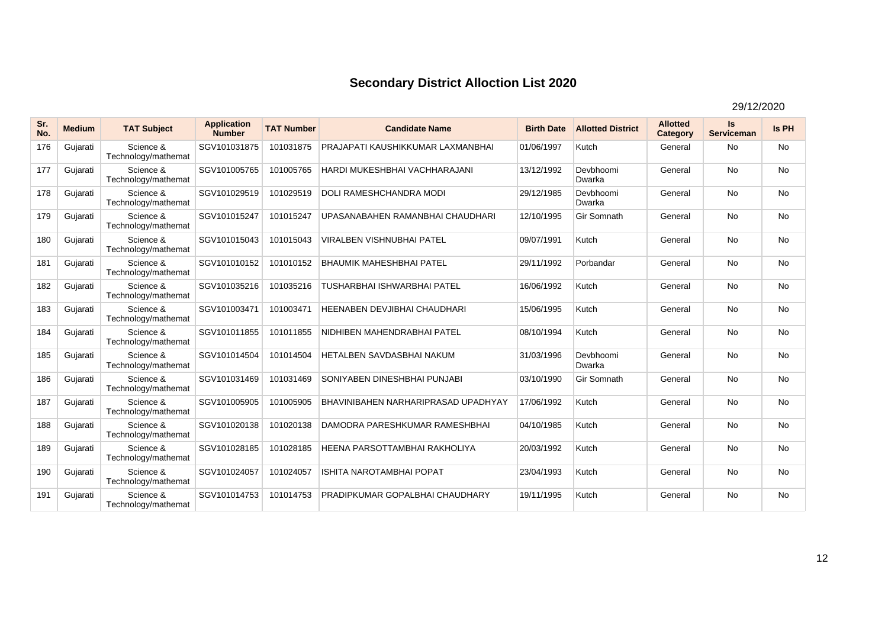| Sr.<br>No. | <b>Medium</b> | <b>TAT Subject</b>               | <b>Application</b><br><b>Number</b> | <b>TAT Number</b> | <b>Candidate Name</b>               | <b>Birth Date</b> | <b>Allotted District</b> | <b>Allotted</b><br>Category | Is<br><b>Serviceman</b> | <b>Is PH</b> |
|------------|---------------|----------------------------------|-------------------------------------|-------------------|-------------------------------------|-------------------|--------------------------|-----------------------------|-------------------------|--------------|
| 176        | Gujarati      | Science &<br>Technology/mathemat | SGV101031875                        | 101031875         | PRAJAPATI KAUSHIKKUMAR LAXMANBHAI   | 01/06/1997        | Kutch                    | General                     | <b>No</b>               | <b>No</b>    |
| 177        | Gujarati      | Science &<br>Technology/mathemat | SGV101005765                        | 101005765         | HARDI MUKESHBHAI VACHHARAJANI       | 13/12/1992        | Devbhoomi<br>Dwarka      | General                     | <b>No</b>               | <b>No</b>    |
| 178        | Gujarati      | Science &<br>Technology/mathemat | SGV101029519                        | 101029519         | <b>DOLI RAMESHCHANDRA MODI</b>      | 29/12/1985        | Devbhoomi<br>Dwarka      | General                     | <b>No</b>               | <b>No</b>    |
| 179        | Gujarati      | Science &<br>Technology/mathemat | SGV101015247                        | 101015247         | UPASANABAHEN RAMANBHAI CHAUDHARI    | 12/10/1995        | Gir Somnath              | General                     | <b>No</b>               | No           |
| 180        | Gujarati      | Science &<br>Technology/mathemat | SGV101015043                        | 101015043         | <b>VIRALBEN VISHNUBHAI PATEL</b>    | 09/07/1991        | Kutch                    | General                     | <b>No</b>               | <b>No</b>    |
| 181        | Gujarati      | Science &<br>Technology/mathemat | SGV101010152                        | 101010152         | <b>BHAUMIK MAHESHBHAI PATEL</b>     | 29/11/1992        | Porbandar                | General                     | <b>No</b>               | <b>No</b>    |
| 182        | Gujarati      | Science &<br>Technology/mathemat | SGV101035216                        | 101035216         | <b>TUSHARBHAI ISHWARBHAI PATEL</b>  | 16/06/1992        | Kutch                    | General                     | <b>No</b>               | <b>No</b>    |
| 183        | Gujarati      | Science &<br>Technology/mathemat | SGV101003471                        | 101003471         | <b>HEENABEN DEVJIBHAI CHAUDHARI</b> | 15/06/1995        | Kutch                    | General                     | <b>No</b>               | <b>No</b>    |
| 184        | Gujarati      | Science &<br>Technology/mathemat | SGV101011855                        | 101011855         | NIDHIBEN MAHENDRABHAI PATEL         | 08/10/1994        | Kutch                    | General                     | <b>No</b>               | <b>No</b>    |
| 185        | Gujarati      | Science &<br>Technology/mathemat | SGV101014504                        | 101014504         | <b>HETALBEN SAVDASBHAI NAKUM</b>    | 31/03/1996        | Devbhoomi<br>Dwarka      | General                     | <b>No</b>               | No           |
| 186        | Gujarati      | Science &<br>Technology/mathemat | SGV101031469                        | 101031469         | SONIYABEN DINESHBHAI PUNJABI        | 03/10/1990        | Gir Somnath              | General                     | <b>No</b>               | No           |
| 187        | Gujarati      | Science &<br>Technology/mathemat | SGV101005905                        | 101005905         | BHAVINIBAHEN NARHARIPRASAD UPADHYAY | 17/06/1992        | Kutch                    | General                     | <b>No</b>               | <b>No</b>    |
| 188        | Gujarati      | Science &<br>Technology/mathemat | SGV101020138                        | 101020138         | DAMODRA PARESHKUMAR RAMESHBHAI      | 04/10/1985        | Kutch                    | General                     | <b>No</b>               | No           |
| 189        | Gujarati      | Science &<br>Technology/mathemat | SGV101028185                        | 101028185         | HEENA PARSOTTAMBHAI RAKHOLIYA       | 20/03/1992        | Kutch                    | General                     | <b>No</b>               | No           |
| 190        | Gujarati      | Science &<br>Technology/mathemat | SGV101024057                        | 101024057         | <b>ISHITA NAROTAMBHAI POPAT</b>     | 23/04/1993        | Kutch                    | General                     | <b>No</b>               | <b>No</b>    |
| 191        | Gujarati      | Science &<br>Technology/mathemat | SGV101014753                        | 101014753         | PRADIPKUMAR GOPALBHAI CHAUDHARY     | 19/11/1995        | Kutch                    | General                     | <b>No</b>               | No           |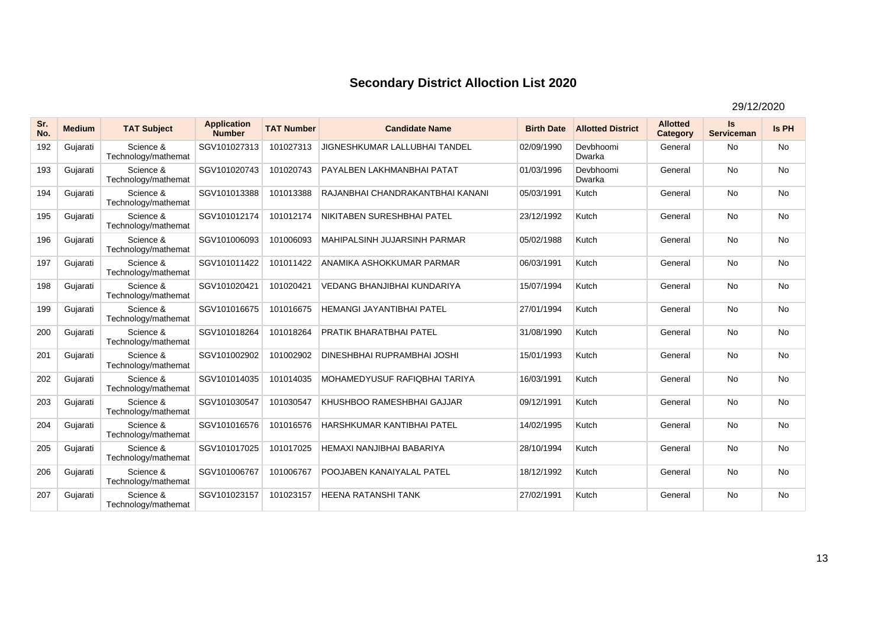| Sr.<br>No. | <b>Medium</b> | <b>TAT Subject</b>               | <b>Application</b><br><b>Number</b> | <b>TAT Number</b> | <b>Candidate Name</b>               | <b>Birth Date</b> | <b>Allotted District</b> | <b>Allotted</b><br>Category | <b>Is</b><br><b>Serviceman</b> | Is PH     |
|------------|---------------|----------------------------------|-------------------------------------|-------------------|-------------------------------------|-------------------|--------------------------|-----------------------------|--------------------------------|-----------|
| 192        | Gujarati      | Science &<br>Technology/mathemat | SGV101027313                        | 101027313         | JIGNESHKUMAR LALLUBHAI TANDEL       | 02/09/1990        | Devbhoomi<br>Dwarka      | General                     | <b>No</b>                      | No        |
| 193        | Gujarati      | Science &<br>Technology/mathemat | SGV101020743                        | 101020743         | PAYALBEN LAKHMANBHAI PATAT          | 01/03/1996        | Devbhoomi<br>Dwarka      | General                     | <b>No</b>                      | <b>No</b> |
| 194        | Gujarati      | Science &<br>Technology/mathemat | SGV101013388                        | 101013388         | RAJANBHAI CHANDRAKANTBHAI KANANI    | 05/03/1991        | Kutch                    | General                     | No                             | No        |
| 195        | Gujarati      | Science &<br>Technology/mathemat | SGV101012174                        | 101012174         | NIKITABEN SURESHBHAI PATEL          | 23/12/1992        | Kutch                    | General                     | <b>No</b>                      | <b>No</b> |
| 196        | Gujarati      | Science &<br>Technology/mathemat | SGV101006093                        | 101006093         | <b>MAHIPALSINH JUJARSINH PARMAR</b> | 05/02/1988        | Kutch                    | General                     | <b>No</b>                      | <b>No</b> |
| 197        | Gujarati      | Science &<br>Technology/mathemat | SGV101011422                        | 101011422         | ANAMIKA ASHOKKUMAR PARMAR           | 06/03/1991        | Kutch                    | General                     | <b>No</b>                      | <b>No</b> |
| 198        | Gujarati      | Science &<br>Technology/mathemat | SGV101020421                        | 101020421         | <b>VEDANG BHANJIBHAI KUNDARIYA</b>  | 15/07/1994        | Kutch                    | General                     | <b>No</b>                      | <b>No</b> |
| 199        | Gujarati      | Science &<br>Technology/mathemat | SGV101016675                        | 101016675         | <b>HEMANGI JAYANTIBHAI PATEL</b>    | 27/01/1994        | Kutch                    | General                     | <b>No</b>                      | No        |
| 200        | Gujarati      | Science &<br>Technology/mathemat | SGV101018264                        | 101018264         | <b>PRATIK BHARATBHAI PATEL</b>      | 31/08/1990        | Kutch                    | General                     | <b>No</b>                      | No        |
| 201        | Gujarati      | Science &<br>Technology/mathemat | SGV101002902                        | 101002902         | DINESHBHAI RUPRAMBHAI JOSHI         | 15/01/1993        | Kutch                    | General                     | No                             | No        |
| 202        | Gujarati      | Science &<br>Technology/mathemat | SGV101014035                        | 101014035         | MOHAMEDYUSUF RAFIQBHAI TARIYA       | 16/03/1991        | Kutch                    | General                     | <b>No</b>                      | No        |
| 203        | Gujarati      | Science &<br>Technology/mathemat | SGV101030547                        | 101030547         | KHUSHBOO RAMESHBHAI GAJJAR          | 09/12/1991        | Kutch                    | General                     | <b>No</b>                      | <b>No</b> |
| 204        | Gujarati      | Science &<br>Technology/mathemat | SGV101016576                        | 101016576         | HARSHKUMAR KANTIBHAI PATEL          | 14/02/1995        | Kutch                    | General                     | <b>No</b>                      | <b>No</b> |
| 205        | Gujarati      | Science &<br>Technology/mathemat | SGV101017025                        | 101017025         | HEMAXI NANJIBHAI BABARIYA           | 28/10/1994        | Kutch                    | General                     | <b>No</b>                      | No        |
| 206        | Gujarati      | Science &<br>Technology/mathemat | SGV101006767                        | 101006767         | <b>POOJABEN KANAIYALAL PATEL</b>    | 18/12/1992        | Kutch                    | General                     | <b>No</b>                      | No        |
| 207        | Gujarati      | Science &<br>Technology/mathemat | SGV101023157                        | 101023157         | <b>HEENA RATANSHI TANK</b>          | 27/02/1991        | Kutch                    | General                     | <b>No</b>                      | No        |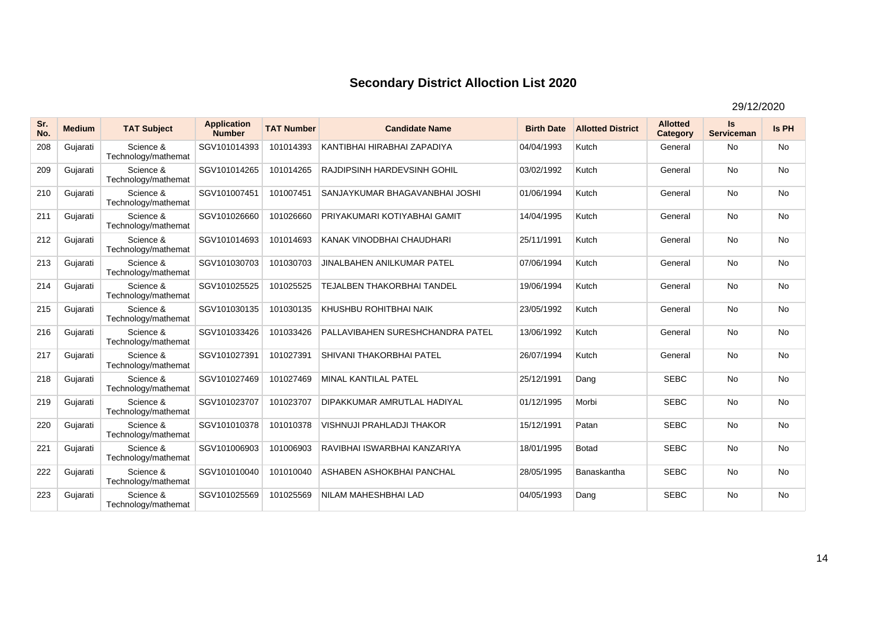| Sr.<br>No. | <b>Medium</b> | <b>TAT Subject</b>               | <b>Application</b><br><b>Number</b> | <b>TAT Number</b> | <b>Candidate Name</b>              | <b>Birth Date</b> | <b>Allotted District</b> | <b>Allotted</b><br>Category | Is<br><b>Serviceman</b> | <b>Is PH</b> |
|------------|---------------|----------------------------------|-------------------------------------|-------------------|------------------------------------|-------------------|--------------------------|-----------------------------|-------------------------|--------------|
| 208        | Gujarati      | Science &<br>Technology/mathemat | SGV101014393                        | 101014393         | KANTIBHAI HIRABHAI ZAPADIYA        | 04/04/1993        | Kutch                    | General                     | <b>No</b>               | No           |
| 209        | Gujarati      | Science &<br>Technology/mathemat | SGV101014265                        | 101014265         | <b>RAJDIPSINH HARDEVSINH GOHIL</b> | 03/02/1992        | Kutch                    | General                     | <b>No</b>               | No           |
| 210        | Gujarati      | Science &<br>Technology/mathemat | SGV101007451                        | 101007451         | SANJAYKUMAR BHAGAVANBHAI JOSHI     | 01/06/1994        | Kutch                    | General                     | <b>No</b>               | <b>No</b>    |
| 211        | Gujarati      | Science &<br>Technology/mathemat | SGV101026660                        | 101026660         | PRIYAKUMARI KOTIYABHAI GAMIT       | 14/04/1995        | Kutch                    | General                     | <b>No</b>               | No           |
| 212        | Gujarati      | Science &<br>Technology/mathemat | SGV101014693                        | 101014693         | KANAK VINODBHAI CHAUDHARI          | 25/11/1991        | Kutch                    | General                     | <b>No</b>               | No           |
| 213        | Gujarati      | Science &<br>Technology/mathemat | SGV101030703                        | 101030703         | <b>JINALBAHEN ANILKUMAR PATEL</b>  | 07/06/1994        | Kutch                    | General                     | <b>No</b>               | <b>No</b>    |
| 214        | Gujarati      | Science &<br>Technology/mathemat | SGV101025525                        | 101025525         | <b>TEJALBEN THAKORBHAI TANDEL</b>  | 19/06/1994        | Kutch                    | General                     | <b>No</b>               | No           |
| 215        | Gujarati      | Science &<br>Technology/mathemat | SGV101030135                        | 101030135         | KHUSHBU ROHITBHAI NAIK             | 23/05/1992        | Kutch                    | General                     | <b>No</b>               | <b>No</b>    |
| 216        | Gujarati      | Science &<br>Technology/mathemat | SGV101033426                        | 101033426         | PALLAVIBAHEN SURESHCHANDRA PATEL   | 13/06/1992        | Kutch                    | General                     | <b>No</b>               | No           |
| 217        | Gujarati      | Science &<br>Technology/mathemat | SGV101027391                        | 101027391         | SHIVANI THAKORBHAI PATEL           | 26/07/1994        | Kutch                    | General                     | <b>No</b>               | <b>No</b>    |
| 218        | Gujarati      | Science &<br>Technology/mathemat | SGV101027469                        | 101027469         | <b>MINAL KANTILAL PATEL</b>        | 25/12/1991        | Dang                     | <b>SEBC</b>                 | No                      | No           |
| 219        | Gujarati      | Science &<br>Technology/mathemat | SGV101023707                        | 101023707         | DIPAKKUMAR AMRUTLAL HADIYAL        | 01/12/1995        | Morbi                    | <b>SEBC</b>                 | <b>No</b>               | No           |
| 220        | Gujarati      | Science &<br>Technology/mathemat | SGV101010378                        | 101010378         | <b>VISHNUJI PRAHLADJI THAKOR</b>   | 15/12/1991        | Patan                    | <b>SEBC</b>                 | <b>No</b>               | <b>No</b>    |
| 221        | Gujarati      | Science &<br>Technology/mathemat | SGV101006903                        | 101006903         | RAVIBHAI ISWARBHAI KANZARIYA       | 18/01/1995        | <b>Botad</b>             | <b>SEBC</b>                 | <b>No</b>               | No           |
| 222        | Gujarati      | Science &<br>Technology/mathemat | SGV101010040                        | 101010040         | ASHABEN ASHOKBHAI PANCHAL          | 28/05/1995        | Banaskantha              | <b>SEBC</b>                 | <b>No</b>               | <b>No</b>    |
| 223        | Gujarati      | Science &<br>Technology/mathemat | SGV101025569                        | 101025569         | NILAM MAHESHBHAI LAD               | 04/05/1993        | Dang                     | <b>SEBC</b>                 | <b>No</b>               | <b>No</b>    |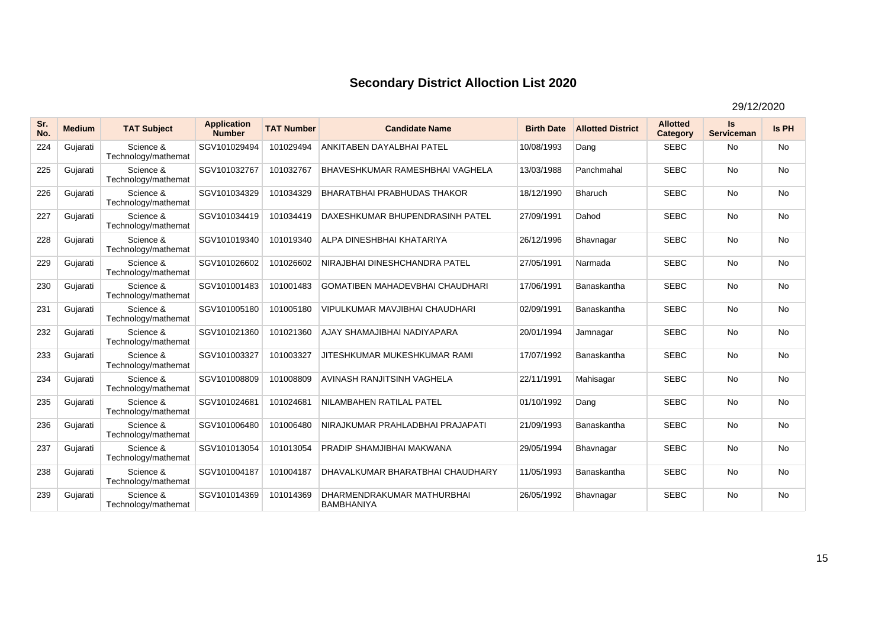| Sr.<br>No. | <b>Medium</b> | <b>TAT Subject</b>               | <b>Application</b><br><b>Number</b> | <b>TAT Number</b> | <b>Candidate Name</b>                           | <b>Birth Date</b> | <b>Allotted District</b> | <b>Allotted</b><br>Category | Is<br><b>Serviceman</b> | Is PH     |
|------------|---------------|----------------------------------|-------------------------------------|-------------------|-------------------------------------------------|-------------------|--------------------------|-----------------------------|-------------------------|-----------|
| 224        | Gujarati      | Science &<br>Technology/mathemat | SGV101029494                        | 101029494         | ANKITABEN DAYALBHAI PATEL                       | 10/08/1993        | Dang                     | <b>SEBC</b>                 | No                      | <b>No</b> |
| 225        | Gujarati      | Science &<br>Technology/mathemat | SGV101032767                        | 101032767         | <b>BHAVESHKUMAR RAMESHBHAI VAGHELA</b>          | 13/03/1988        | Panchmahal               | <b>SEBC</b>                 | <b>No</b>               | <b>No</b> |
| 226        | Gujarati      | Science &<br>Technology/mathemat | SGV101034329                        | 101034329         | <b>BHARATBHAI PRABHUDAS THAKOR</b>              | 18/12/1990        | <b>Bharuch</b>           | <b>SEBC</b>                 | <b>No</b>               | <b>No</b> |
| 227        | Gujarati      | Science &<br>Technology/mathemat | SGV101034419                        | 101034419         | DAXESHKUMAR BHUPENDRASINH PATEL                 | 27/09/1991        | Dahod                    | <b>SEBC</b>                 | <b>No</b>               | <b>No</b> |
| 228        | Gujarati      | Science &<br>Technology/mathemat | SGV101019340                        | 101019340         | ALPA DINESHBHAI KHATARIYA                       | 26/12/1996        | Bhavnagar                | <b>SEBC</b>                 | <b>No</b>               | <b>No</b> |
| 229        | Gujarati      | Science &<br>Technology/mathemat | SGV101026602                        | 101026602         | NIRAJBHAI DINESHCHANDRA PATEL                   | 27/05/1991        | Narmada                  | <b>SEBC</b>                 | <b>No</b>               | No        |
| 230        | Gujarati      | Science &<br>Technology/mathemat | SGV101001483                        | 101001483         | <b>GOMATIBEN MAHADEVBHAI CHAUDHARI</b>          | 17/06/1991        | Banaskantha              | <b>SEBC</b>                 | <b>No</b>               | No        |
| 231        | Gujarati      | Science &<br>Technology/mathemat | SGV101005180                        | 101005180         | VIPULKUMAR MAVJIBHAI CHAUDHARI                  | 02/09/1991        | Banaskantha              | <b>SEBC</b>                 | <b>No</b>               | No        |
| 232        | Gujarati      | Science &<br>Technology/mathemat | SGV101021360                        | 101021360         | AJAY SHAMAJIBHAI NADIYAPARA                     | 20/01/1994        | Jamnagar                 | <b>SEBC</b>                 | <b>No</b>               | <b>No</b> |
| 233        | Gujarati      | Science &<br>Technology/mathemat | SGV101003327                        | 101003327         | JITESHKUMAR MUKESHKUMAR RAMI                    | 17/07/1992        | Banaskantha              | <b>SEBC</b>                 | <b>No</b>               | <b>No</b> |
| 234        | Gujarati      | Science &<br>Technology/mathemat | SGV101008809                        | 101008809         | <b>AVINASH RANJITSINH VAGHELA</b>               | 22/11/1991        | Mahisagar                | <b>SEBC</b>                 | <b>No</b>               | <b>No</b> |
| 235        | Gujarati      | Science &<br>Technology/mathemat | SGV101024681                        | 101024681         | NILAMBAHEN RATILAL PATEL                        | 01/10/1992        | Dang                     | <b>SEBC</b>                 | <b>No</b>               | <b>No</b> |
| 236        | Gujarati      | Science &<br>Technology/mathemat | SGV101006480                        | 101006480         | NIRAJKUMAR PRAHLADBHAI PRAJAPATI                | 21/09/1993        | Banaskantha              | <b>SEBC</b>                 | <b>No</b>               | <b>No</b> |
| 237        | Gujarati      | Science &<br>Technology/mathemat | SGV101013054                        | 101013054         | PRADIP SHAMJIBHAI MAKWANA                       | 29/05/1994        | Bhavnagar                | <b>SEBC</b>                 | <b>No</b>               | <b>No</b> |
| 238        | Gujarati      | Science &<br>Technology/mathemat | SGV101004187                        | 101004187         | DHAVALKUMAR BHARATBHAI CHAUDHARY                | 11/05/1993        | Banaskantha              | <b>SEBC</b>                 | <b>No</b>               | <b>No</b> |
| 239        | Gujarati      | Science &<br>Technology/mathemat | SGV101014369                        | 101014369         | DHARMENDRAKUMAR MATHURBHAI<br><b>BAMBHANIYA</b> | 26/05/1992        | Bhavnagar                | <b>SEBC</b>                 | <b>No</b>               | <b>No</b> |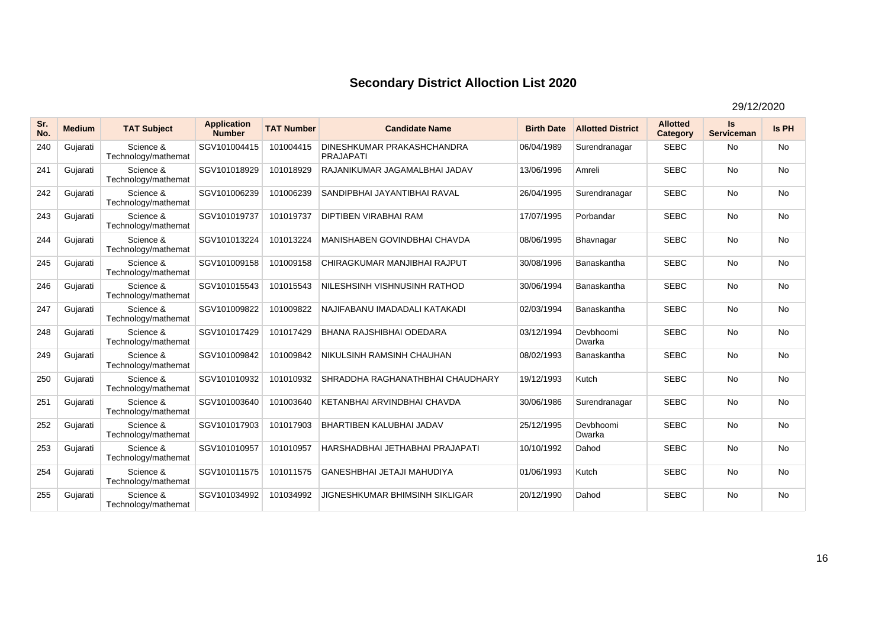| Sr.<br>No. | <b>Medium</b> | <b>TAT Subject</b>               | <b>Application</b><br><b>Number</b> | <b>TAT Number</b> | <b>Candidate Name</b>                          | <b>Birth Date</b> | <b>Allotted District</b> | <b>Allotted</b><br>Category | Is<br><b>Serviceman</b> | Is PH     |
|------------|---------------|----------------------------------|-------------------------------------|-------------------|------------------------------------------------|-------------------|--------------------------|-----------------------------|-------------------------|-----------|
| 240        | Gujarati      | Science &<br>Technology/mathemat | SGV101004415                        | 101004415         | DINESHKUMAR PRAKASHCHANDRA<br><b>PRAJAPATI</b> | 06/04/1989        | Surendranagar            | <b>SEBC</b>                 | No                      | <b>No</b> |
| 241        | Gujarati      | Science &<br>Technology/mathemat | SGV101018929                        | 101018929         | RAJANIKUMAR JAGAMALBHAI JADAV                  | 13/06/1996        | Amreli                   | <b>SEBC</b>                 | <b>No</b>               | <b>No</b> |
| 242        | Gujarati      | Science &<br>Technology/mathemat | SGV101006239                        | 101006239         | SANDIPBHAI JAYANTIBHAI RAVAL                   | 26/04/1995        | Surendranagar            | <b>SEBC</b>                 | <b>No</b>               | <b>No</b> |
| 243        | Gujarati      | Science &<br>Technology/mathemat | SGV101019737                        | 101019737         | <b>DIPTIBEN VIRABHAI RAM</b>                   | 17/07/1995        | Porbandar                | <b>SEBC</b>                 | <b>No</b>               | <b>No</b> |
| 244        | Gujarati      | Science &<br>Technology/mathemat | SGV101013224                        | 101013224         | <b>MANISHABEN GOVINDBHAI CHAVDA</b>            | 08/06/1995        | Bhavnagar                | <b>SEBC</b>                 | <b>No</b>               | <b>No</b> |
| 245        | Gujarati      | Science &<br>Technology/mathemat | SGV101009158                        | 101009158         | CHIRAGKUMAR MANJIBHAI RAJPUT                   | 30/08/1996        | Banaskantha              | <b>SEBC</b>                 | <b>No</b>               | No        |
| 246        | Gujarati      | Science &<br>Technology/mathemat | SGV101015543                        | 101015543         | NILESHSINH VISHNUSINH RATHOD                   | 30/06/1994        | Banaskantha              | <b>SEBC</b>                 | <b>No</b>               | No        |
| 247        | Gujarati      | Science &<br>Technology/mathemat | SGV101009822                        | 101009822         | NAJIFABANU IMADADALI KATAKADI                  | 02/03/1994        | Banaskantha              | <b>SEBC</b>                 | <b>No</b>               | No        |
| 248        | Gujarati      | Science &<br>Technology/mathemat | SGV101017429                        | 101017429         | <b>BHANA RAJSHIBHAI ODEDARA</b>                | 03/12/1994        | Devbhoomi<br>Dwarka      | <b>SEBC</b>                 | <b>No</b>               | <b>No</b> |
| 249        | Gujarati      | Science &<br>Technology/mathemat | SGV101009842                        | 101009842         | NIKULSINH RAMSINH CHAUHAN                      | 08/02/1993        | Banaskantha              | <b>SEBC</b>                 | <b>No</b>               | <b>No</b> |
| 250        | Gujarati      | Science &<br>Technology/mathemat | SGV101010932                        | 101010932         | SHRADDHA RAGHANATHBHAI CHAUDHARY               | 19/12/1993        | Kutch                    | <b>SEBC</b>                 | <b>No</b>               | <b>No</b> |
| 251        | Gujarati      | Science &<br>Technology/mathemat | SGV101003640                        | 101003640         | KETANBHAI ARVINDBHAI CHAVDA                    | 30/06/1986        | Surendranagar            | <b>SEBC</b>                 | <b>No</b>               | <b>No</b> |
| 252        | Gujarati      | Science &<br>Technology/mathemat | SGV101017903                        | 101017903         | <b>BHARTIBEN KALUBHAI JADAV</b>                | 25/12/1995        | Devbhoomi<br>Dwarka      | <b>SEBC</b>                 | <b>No</b>               | <b>No</b> |
| 253        | Gujarati      | Science &<br>Technology/mathemat | SGV101010957                        | 101010957         | HARSHADBHAI JETHABHAI PRAJAPATI                | 10/10/1992        | Dahod                    | <b>SEBC</b>                 | <b>No</b>               | <b>No</b> |
| 254        | Gujarati      | Science &<br>Technology/mathemat | SGV101011575                        | 101011575         | <b>GANESHBHAI JETAJI MAHUDIYA</b>              | 01/06/1993        | Kutch                    | <b>SEBC</b>                 | <b>No</b>               | <b>No</b> |
| 255        | Gujarati      | Science &<br>Technology/mathemat | SGV101034992                        | 101034992         | JIGNESHKUMAR BHIMSINH SIKLIGAR                 | 20/12/1990        | Dahod                    | <b>SEBC</b>                 | <b>No</b>               | <b>No</b> |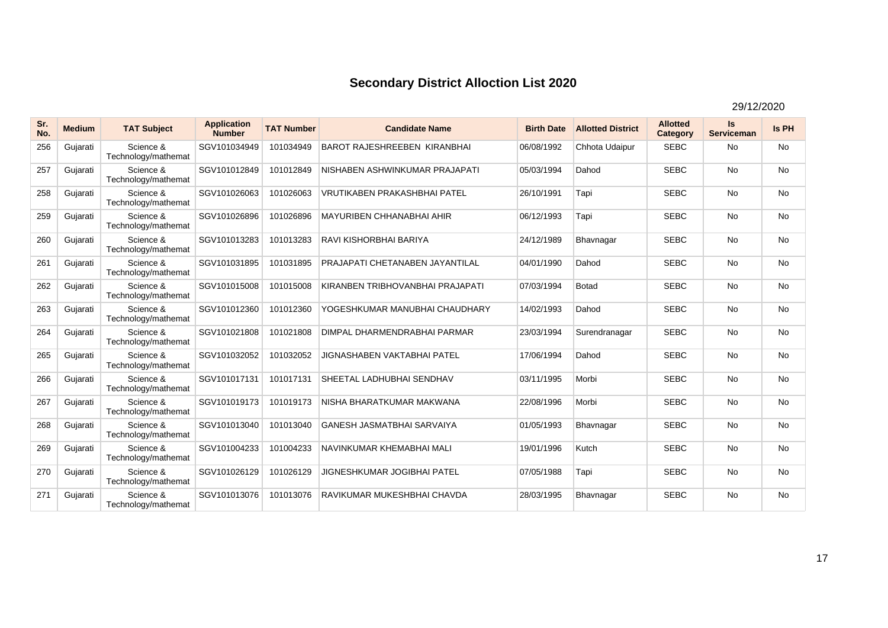| Sr.<br>No. | <b>Medium</b> | <b>TAT Subject</b>               | <b>Application</b><br><b>Number</b> | <b>TAT Number</b> | <b>Candidate Name</b>                  | <b>Birth Date</b> | <b>Allotted District</b> | <b>Allotted</b><br>Category | <b>Is</b><br><b>Serviceman</b> | Is PH     |
|------------|---------------|----------------------------------|-------------------------------------|-------------------|----------------------------------------|-------------------|--------------------------|-----------------------------|--------------------------------|-----------|
| 256        | Gujarati      | Science &<br>Technology/mathemat | SGV101034949                        | 101034949         | <b>BAROT RAJESHREEBEN KIRANBHAI</b>    | 06/08/1992        | Chhota Udaipur           | <b>SEBC</b>                 | <b>No</b>                      | <b>No</b> |
| 257        | Gujarati      | Science &<br>Technology/mathemat | SGV101012849                        | 101012849         | NISHABEN ASHWINKUMAR PRAJAPATI         | 05/03/1994        | Dahod                    | <b>SEBC</b>                 | <b>No</b>                      | No        |
| 258        | Gujarati      | Science &<br>Technology/mathemat | SGV101026063                        | 101026063         | <b>VRUTIKABEN PRAKASHBHAI PATEL</b>    | 26/10/1991        | Tapi                     | <b>SEBC</b>                 | <b>No</b>                      | <b>No</b> |
| 259        | Gujarati      | Science &<br>Technology/mathemat | SGV101026896                        | 101026896         | <b>MAYURIBEN CHHANABHAI AHIR</b>       | 06/12/1993        | Tapi                     | <b>SEBC</b>                 | <b>No</b>                      | <b>No</b> |
| 260        | Gujarati      | Science &<br>Technology/mathemat | SGV101013283                        | 101013283         | RAVI KISHORBHAI BARIYA                 | 24/12/1989        | Bhavnagar                | <b>SEBC</b>                 | <b>No</b>                      | <b>No</b> |
| 261        | Gujarati      | Science &<br>Technology/mathemat | SGV101031895                        | 101031895         | <b>PRAJAPATI CHETANABEN JAYANTILAL</b> | 04/01/1990        | Dahod                    | <b>SEBC</b>                 | <b>No</b>                      | <b>No</b> |
| 262        | Gujarati      | Science &<br>Technology/mathemat | SGV101015008                        | 101015008         | KIRANBEN TRIBHOVANBHAI PRAJAPATI       | 07/03/1994        | <b>Botad</b>             | <b>SEBC</b>                 | <b>No</b>                      | <b>No</b> |
| 263        | Gujarati      | Science &<br>Technology/mathemat | SGV101012360                        | 101012360         | YOGESHKUMAR MANUBHAI CHAUDHARY         | 14/02/1993        | Dahod                    | <b>SEBC</b>                 | <b>No</b>                      | No        |
| 264        | Gujarati      | Science &<br>Technology/mathemat | SGV101021808                        | 101021808         | DIMPAL DHARMENDRABHAI PARMAR           | 23/03/1994        | Surendranagar            | <b>SEBC</b>                 | <b>No</b>                      | <b>No</b> |
| 265        | Gujarati      | Science &<br>Technology/mathemat | SGV101032052                        | 101032052         | <b>JIGNASHABEN VAKTABHAI PATEL</b>     | 17/06/1994        | Dahod                    | <b>SEBC</b>                 | <b>No</b>                      | No        |
| 266        | Gujarati      | Science &<br>Technology/mathemat | SGV101017131                        | 101017131         | SHEETAL LADHUBHAI SENDHAV              | 03/11/1995        | Morbi                    | <b>SEBC</b>                 | <b>No</b>                      | <b>No</b> |
| 267        | Gujarati      | Science &<br>Technology/mathemat | SGV101019173                        | 101019173         | NISHA BHARATKUMAR MAKWANA              | 22/08/1996        | Morbi                    | <b>SEBC</b>                 | <b>No</b>                      | <b>No</b> |
| 268        | Gujarati      | Science &<br>Technology/mathemat | SGV101013040                        | 101013040         | <b>GANESH JASMATBHAI SARVAIYA</b>      | 01/05/1993        | Bhavnagar                | <b>SEBC</b>                 | <b>No</b>                      | <b>No</b> |
| 269        | Gujarati      | Science &<br>Technology/mathemat | SGV101004233                        | 101004233         | NAVINKUMAR KHEMABHAI MALI              | 19/01/1996        | Kutch                    | <b>SEBC</b>                 | <b>No</b>                      | <b>No</b> |
| 270        | Gujarati      | Science &<br>Technology/mathemat | SGV101026129                        | 101026129         | <b>JIGNESHKUMAR JOGIBHAI PATEL</b>     | 07/05/1988        | Tapi                     | <b>SEBC</b>                 | <b>No</b>                      | No        |
| 271        | Gujarati      | Science &<br>Technology/mathemat | SGV101013076                        | 101013076         | RAVIKUMAR MUKESHBHAI CHAVDA            | 28/03/1995        | Bhavnagar                | <b>SEBC</b>                 | <b>No</b>                      | <b>No</b> |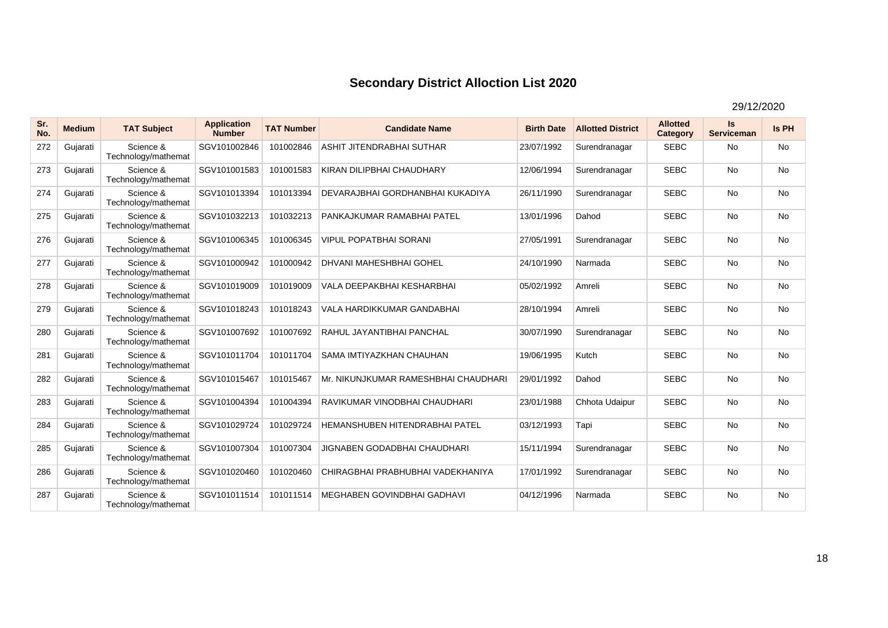| Sr.<br>No. | <b>Medium</b> | <b>TAT Subject</b>               | <b>Application</b><br><b>Number</b> | <b>TAT Number</b> | <b>Candidate Name</b>                 | <b>Birth Date</b> | <b>Allotted District</b> | <b>Allotted</b><br>Category | Is<br><b>Serviceman</b> | Is PH     |
|------------|---------------|----------------------------------|-------------------------------------|-------------------|---------------------------------------|-------------------|--------------------------|-----------------------------|-------------------------|-----------|
| 272        | Gujarati      | Science &<br>Technology/mathemat | SGV101002846                        | 101002846         | <b>ASHIT JITENDRABHAI SUTHAR</b>      | 23/07/1992        | Surendranagar            | <b>SEBC</b>                 | No                      | <b>No</b> |
| 273        | Gujarati      | Science &<br>Technology/mathemat | SGV101001583                        | 101001583         | KIRAN DILIPBHAI CHAUDHARY             | 12/06/1994        | Surendranagar            | <b>SEBC</b>                 | <b>No</b>               | <b>No</b> |
| 274        | Gujarati      | Science &<br>Technology/mathemat | SGV101013394                        | 101013394         | DEVARAJBHAI GORDHANBHAI KUKADIYA      | 26/11/1990        | Surendranagar            | <b>SEBC</b>                 | <b>No</b>               | <b>No</b> |
| 275        | Gujarati      | Science &<br>Technology/mathemat | SGV101032213                        | 101032213         | PANKAJKUMAR RAMABHAI PATEL            | 13/01/1996        | Dahod                    | <b>SEBC</b>                 | <b>No</b>               | <b>No</b> |
| 276        | Gujarati      | Science &<br>Technology/mathemat | SGV101006345                        | 101006345         | VIPUL POPATBHAI SORANI                | 27/05/1991        | Surendranagar            | <b>SEBC</b>                 | <b>No</b>               | <b>No</b> |
| 277        | Gujarati      | Science &<br>Technology/mathemat | SGV101000942                        | 101000942         | <b>DHVANI MAHESHBHAI GOHEL</b>        | 24/10/1990        | Narmada                  | <b>SEBC</b>                 | <b>No</b>               | No        |
| 278        | Gujarati      | Science &<br>Technology/mathemat | SGV101019009                        | 101019009         | VALA DEEPAKBHAI KESHARBHAI            | 05/02/1992        | Amreli                   | <b>SEBC</b>                 | <b>No</b>               | <b>No</b> |
| 279        | Gujarati      | Science &<br>Technology/mathemat | SGV101018243                        | 101018243         | <b>VALA HARDIKKUMAR GANDABHAI</b>     | 28/10/1994        | Amreli                   | <b>SEBC</b>                 | <b>No</b>               | No        |
| 280        | Gujarati      | Science &<br>Technology/mathemat | SGV101007692                        | 101007692         | RAHUL JAYANTIBHAI PANCHAL             | 30/07/1990        | Surendranagar            | <b>SEBC</b>                 | <b>No</b>               | <b>No</b> |
| 281        | Gujarati      | Science &<br>Technology/mathemat | SGV101011704                        | 101011704         | SAMA IMTIYAZKHAN CHAUHAN              | 19/06/1995        | Kutch                    | <b>SEBC</b>                 | <b>No</b>               | No        |
| 282        | Gujarati      | Science &<br>Technology/mathemat | SGV101015467                        | 101015467         | Mr. NIKUNJKUMAR RAMESHBHAI CHAUDHARI  | 29/01/1992        | Dahod                    | <b>SEBC</b>                 | <b>No</b>               | <b>No</b> |
| 283        | Gujarati      | Science &<br>Technology/mathemat | SGV101004394                        | 101004394         | RAVIKUMAR VINODBHAI CHAUDHARI         | 23/01/1988        | Chhota Udaipur           | <b>SEBC</b>                 | <b>No</b>               | No        |
| 284        | Gujarati      | Science &<br>Technology/mathemat | SGV101029724                        | 101029724         | <b>HEMANSHUBEN HITENDRABHAI PATEL</b> | 03/12/1993        | Tapi                     | <b>SEBC</b>                 | <b>No</b>               | <b>No</b> |
| 285        | Gujarati      | Science &<br>Technology/mathemat | SGV101007304                        | 101007304         | JIGNABEN GODADBHAI CHAUDHARI          | 15/11/1994        | Surendranagar            | <b>SEBC</b>                 | <b>No</b>               | No        |
| 286        | Gujarati      | Science &<br>Technology/mathemat | SGV101020460                        | 101020460         | CHIRAGBHAI PRABHUBHAI VADEKHANIYA     | 17/01/1992        | Surendranagar            | <b>SEBC</b>                 | <b>No</b>               | <b>No</b> |
| 287        | Gujarati      | Science &<br>Technology/mathemat | SGV101011514                        | 101011514         | <b>MEGHABEN GOVINDBHAI GADHAVI</b>    | 04/12/1996        | Narmada                  | <b>SEBC</b>                 | <b>No</b>               | <b>No</b> |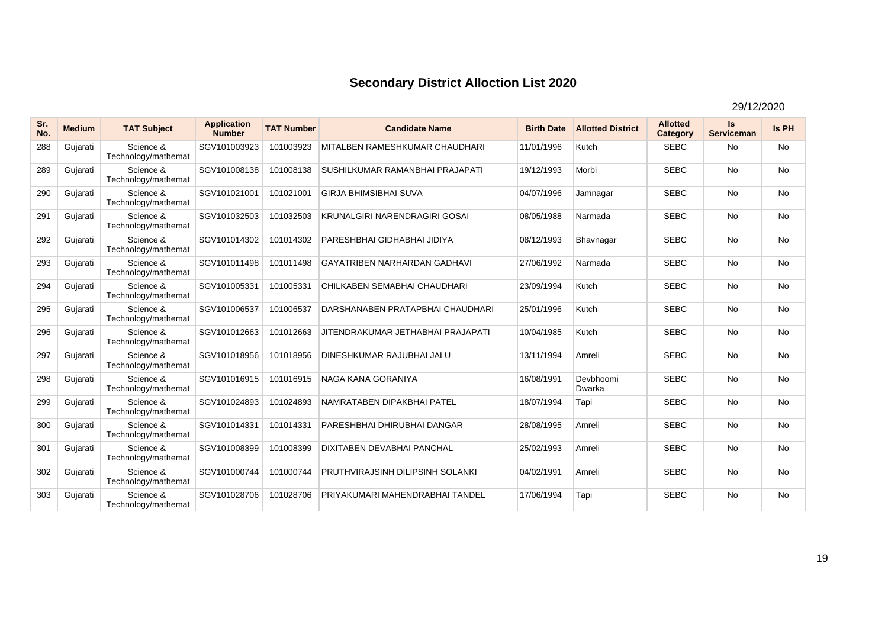| Sr.<br>No. | <b>Medium</b> | <b>TAT Subject</b>               | <b>Application</b><br><b>Number</b> | <b>TAT Number</b> | <b>Candidate Name</b>                 | <b>Birth Date</b> | <b>Allotted District</b> | <b>Allotted</b><br>Category | Is<br><b>Serviceman</b> | <b>Is PH</b> |
|------------|---------------|----------------------------------|-------------------------------------|-------------------|---------------------------------------|-------------------|--------------------------|-----------------------------|-------------------------|--------------|
| 288        | Gujarati      | Science &<br>Technology/mathemat | SGV101003923                        | 101003923         | <b>MITALBEN RAMESHKUMAR CHAUDHARI</b> | 11/01/1996        | Kutch                    | <b>SEBC</b>                 | <b>No</b>               | <b>No</b>    |
| 289        | Gujarati      | Science &<br>Technology/mathemat | SGV101008138                        | 101008138         | SUSHILKUMAR RAMANBHAI PRAJAPATI       | 19/12/1993        | Morbi                    | <b>SEBC</b>                 | <b>No</b>               | No           |
| 290        | Gujarati      | Science &<br>Technology/mathemat | SGV101021001                        | 101021001         | <b>GIRJA BHIMSIBHAI SUVA</b>          | 04/07/1996        | Jamnagar                 | <b>SEBC</b>                 | <b>No</b>               | <b>No</b>    |
| 291        | Gujarati      | Science &<br>Technology/mathemat | SGV101032503                        | 101032503         | KRUNALGIRI NARENDRAGIRI GOSAI         | 08/05/1988        | Narmada                  | <b>SEBC</b>                 | <b>No</b>               | No           |
| 292        | Gujarati      | Science &<br>Technology/mathemat | SGV101014302                        | 101014302         | PARESHBHAI GIDHABHAI JIDIYA           | 08/12/1993        | Bhavnagar                | <b>SEBC</b>                 | <b>No</b>               | <b>No</b>    |
| 293        | Gujarati      | Science &<br>Technology/mathemat | SGV101011498                        | 101011498         | <b>GAYATRIBEN NARHARDAN GADHAVI</b>   | 27/06/1992        | Narmada                  | <b>SEBC</b>                 | <b>No</b>               | No           |
| 294        | Gujarati      | Science &<br>Technology/mathemat | SGV101005331                        | 101005331         | CHILKABEN SEMABHAI CHAUDHARI          | 23/09/1994        | Kutch                    | <b>SEBC</b>                 | <b>No</b>               | <b>No</b>    |
| 295        | Gujarati      | Science &<br>Technology/mathemat | SGV101006537                        | 101006537         | DARSHANABEN PRATAPBHAI CHAUDHARI      | 25/01/1996        | Kutch                    | <b>SEBC</b>                 | <b>No</b>               | No           |
| 296        | Gujarati      | Science &<br>Technology/mathemat | SGV101012663                        | 101012663         | JITENDRAKUMAR JETHABHAI PRAJAPATI     | 10/04/1985        | Kutch                    | <b>SEBC</b>                 | <b>No</b>               | <b>No</b>    |
| 297        | Gujarati      | Science &<br>Technology/mathemat | SGV101018956                        | 101018956         | <b>DINESHKUMAR RAJUBHAI JALU</b>      | 13/11/1994        | Amreli                   | <b>SEBC</b>                 | <b>No</b>               | <b>No</b>    |
| 298        | Gujarati      | Science &<br>Technology/mathemat | SGV101016915                        | 101016915         | NAGA KANA GORANIYA                    | 16/08/1991        | Devbhoomi<br>Dwarka      | <b>SEBC</b>                 | <b>No</b>               | No           |
| 299        | Gujarati      | Science &<br>Technology/mathemat | SGV101024893                        | 101024893         | NAMRATABEN DIPAKBHAI PATEL            | 18/07/1994        | Tapi                     | <b>SEBC</b>                 | <b>No</b>               | <b>No</b>    |
| 300        | Gujarati      | Science &<br>Technology/mathemat | SGV101014331                        | 101014331         | PARESHBHAI DHIRUBHAI DANGAR           | 28/08/1995        | Amreli                   | <b>SEBC</b>                 | <b>No</b>               | <b>No</b>    |
| 301        | Gujarati      | Science &<br>Technology/mathemat | SGV101008399                        | 101008399         | <b>DIXITABEN DEVABHAI PANCHAL</b>     | 25/02/1993        | Amreli                   | <b>SEBC</b>                 | <b>No</b>               | <b>No</b>    |
| 302        | Gujarati      | Science &<br>Technology/mathemat | SGV101000744                        | 101000744         | PRUTHVIRAJSINH DILIPSINH SOLANKI      | 04/02/1991        | Amreli                   | <b>SEBC</b>                 | <b>No</b>               | No           |
| 303        | Gujarati      | Science &<br>Technology/mathemat | SGV101028706                        | 101028706         | PRIYAKUMARI MAHENDRABHAI TANDEL       | 17/06/1994        | Tapi                     | <b>SEBC</b>                 | <b>No</b>               | <b>No</b>    |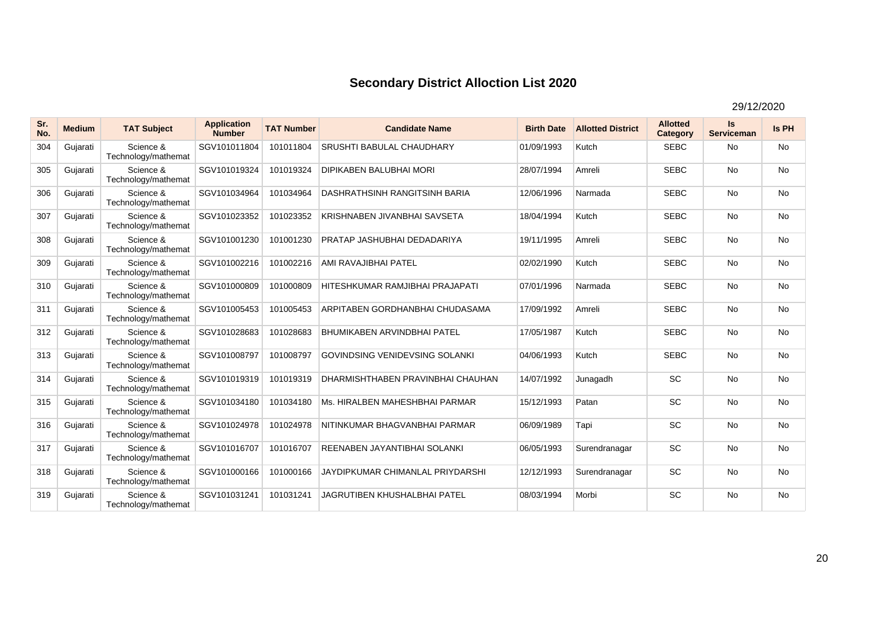| Sr.<br>No. | <b>Medium</b> | <b>TAT Subject</b>               | <b>Application</b><br><b>Number</b> | <b>TAT Number</b> | <b>Candidate Name</b>                 | <b>Birth Date</b> | <b>Allotted District</b> | <b>Allotted</b><br>Category | <b>Is</b><br><b>Serviceman</b> | <b>Is PH</b> |
|------------|---------------|----------------------------------|-------------------------------------|-------------------|---------------------------------------|-------------------|--------------------------|-----------------------------|--------------------------------|--------------|
| 304        | Gujarati      | Science &<br>Technology/mathemat | SGV101011804                        | 101011804         | <b>SRUSHTI BABULAL CHAUDHARY</b>      | 01/09/1993        | Kutch                    | <b>SEBC</b>                 | No                             | <b>No</b>    |
| 305        | Gujarati      | Science &<br>Technology/mathemat | SGV101019324                        | 101019324         | <b>DIPIKABEN BALUBHAI MORI</b>        | 28/07/1994        | Amreli                   | <b>SEBC</b>                 | <b>No</b>                      | No           |
| 306        | Gujarati      | Science &<br>Technology/mathemat | SGV101034964                        | 101034964         | DASHRATHSINH RANGITSINH BARIA         | 12/06/1996        | Narmada                  | <b>SEBC</b>                 | No                             | No           |
| 307        | Gujarati      | Science &<br>Technology/mathemat | SGV101023352                        | 101023352         | KRISHNABEN JIVANBHAI SAVSETA          | 18/04/1994        | Kutch                    | <b>SEBC</b>                 | <b>No</b>                      | No           |
| 308        | Gujarati      | Science &<br>Technology/mathemat | SGV101001230                        | 101001230         | PRATAP JASHUBHAI DEDADARIYA           | 19/11/1995        | Amreli                   | <b>SEBC</b>                 | <b>No</b>                      | No           |
| 309        | Gujarati      | Science &<br>Technology/mathemat | SGV101002216                        | 101002216         | AMI RAVAJIBHAI PATEL                  | 02/02/1990        | Kutch                    | <b>SEBC</b>                 | <b>No</b>                      | <b>No</b>    |
| 310        | Gujarati      | Science &<br>Technology/mathemat | SGV101000809                        | 101000809         | HITESHKUMAR RAMJIBHAI PRAJAPATI       | 07/01/1996        | Narmada                  | <b>SEBC</b>                 | <b>No</b>                      | <b>No</b>    |
| 311        | Gujarati      | Science &<br>Technology/mathemat | SGV101005453                        | 101005453         | ARPITABEN GORDHANBHAI CHUDASAMA       | 17/09/1992        | Amreli                   | <b>SEBC</b>                 | <b>No</b>                      | <b>No</b>    |
| 312        | Gujarati      | Science &<br>Technology/mathemat | SGV101028683                        | 101028683         | <b>BHUMIKABEN ARVINDBHAI PATEL</b>    | 17/05/1987        | Kutch                    | <b>SEBC</b>                 | <b>No</b>                      | <b>No</b>    |
| 313        | Gujarati      | Science &<br>Technology/mathemat | SGV101008797                        | 101008797         | <b>GOVINDSING VENIDEVSING SOLANKI</b> | 04/06/1993        | Kutch                    | <b>SEBC</b>                 | <b>No</b>                      | No           |
| 314        | Gujarati      | Science &<br>Technology/mathemat | SGV101019319                        | 101019319         | DHARMISHTHABEN PRAVINBHAI CHAUHAN     | 14/07/1992        | Junagadh                 | <b>SC</b>                   | <b>No</b>                      | <b>No</b>    |
| 315        | Gujarati      | Science &<br>Technology/mathemat | SGV101034180                        | 101034180         | Ms. HIRALBEN MAHESHBHAI PARMAR        | 15/12/1993        | Patan                    | <b>SC</b>                   | <b>No</b>                      | <b>No</b>    |
| 316        | Gujarati      | Science &<br>Technology/mathemat | SGV101024978                        | 101024978         | NITINKUMAR BHAGVANBHAI PARMAR         | 06/09/1989        | Tapi                     | <b>SC</b>                   | <b>No</b>                      | <b>No</b>    |
| 317        | Gujarati      | Science &<br>Technology/mathemat | SGV101016707                        | 101016707         | REENABEN JAYANTIBHAI SOLANKI          | 06/05/1993        | Surendranagar            | <b>SC</b>                   | <b>No</b>                      | <b>No</b>    |
| 318        | Gujarati      | Science &<br>Technology/mathemat | SGV101000166                        | 101000166         | JAYDIPKUMAR CHIMANLAL PRIYDARSHI      | 12/12/1993        | Surendranagar            | <b>SC</b>                   | <b>No</b>                      | <b>No</b>    |
| 319        | Gujarati      | Science &<br>Technology/mathemat | SGV101031241                        | 101031241         | <b>JAGRUTIBEN KHUSHALBHAI PATEL</b>   | 08/03/1994        | Morbi                    | <b>SC</b>                   | <b>No</b>                      | <b>No</b>    |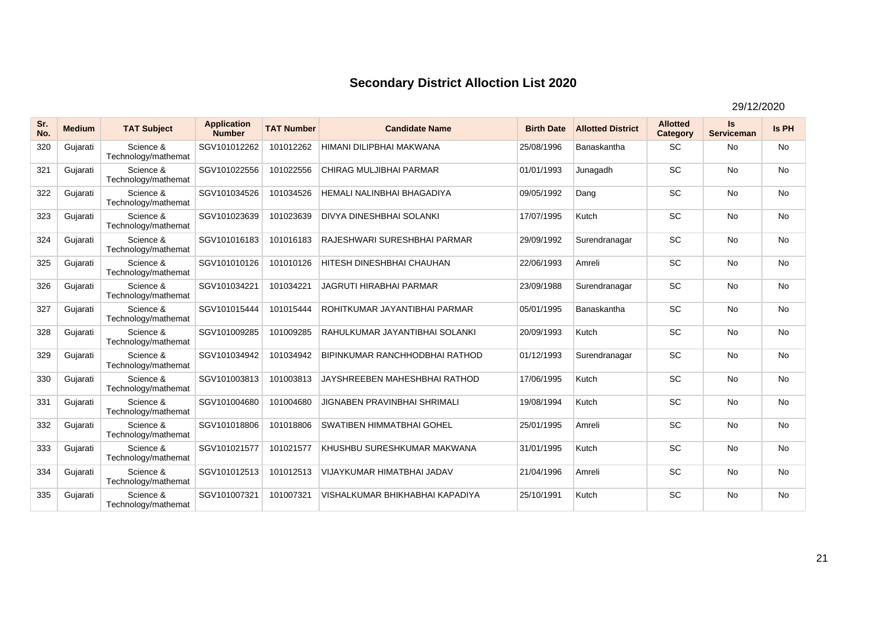| Sr.<br>No. | <b>Medium</b> | <b>TAT Subject</b>               | <b>Application</b><br><b>Number</b> | <b>TAT Number</b> | <b>Candidate Name</b>                 | <b>Birth Date</b> | <b>Allotted District</b> | <b>Allotted</b><br>Category | Is<br><b>Serviceman</b> | <b>Is PH</b> |
|------------|---------------|----------------------------------|-------------------------------------|-------------------|---------------------------------------|-------------------|--------------------------|-----------------------------|-------------------------|--------------|
| 320        | Gujarati      | Science &<br>Technology/mathemat | SGV101012262                        | 101012262         | HIMANI DILIPBHAI MAKWANA              | 25/08/1996        | Banaskantha              | <b>SC</b>                   | <b>No</b>               | No           |
| 321        | Gujarati      | Science &<br>Technology/mathemat | SGV101022556                        | 101022556         | CHIRAG MULJIBHAI PARMAR               | 01/01/1993        | Junagadh                 | <b>SC</b>                   | <b>No</b>               | No           |
| 322        | Gujarati      | Science &<br>Technology/mathemat | SGV101034526                        | 101034526         | HEMALI NALINBHAI BHAGADIYA            | 09/05/1992        | Dang                     | <b>SC</b>                   | <b>No</b>               | <b>No</b>    |
| 323        | Gujarati      | Science &<br>Technology/mathemat | SGV101023639                        | 101023639         | <b>DIVYA DINESHBHAI SOLANKI</b>       | 17/07/1995        | Kutch                    | <b>SC</b>                   | <b>No</b>               | No           |
| 324        | Gujarati      | Science &<br>Technology/mathemat | SGV101016183                        | 101016183         | RAJESHWARI SURESHBHAI PARMAR          | 29/09/1992        | Surendranagar            | <b>SC</b>                   | <b>No</b>               | No           |
| 325        | Gujarati      | Science &<br>Technology/mathemat | SGV101010126                        | 101010126         | HITESH DINESHBHAI CHAUHAN             | 22/06/1993        | Amreli                   | <b>SC</b>                   | <b>No</b>               | <b>No</b>    |
| 326        | Gujarati      | Science &<br>Technology/mathemat | SGV101034221                        | 101034221         | <b>JAGRUTI HIRABHAI PARMAR</b>        | 23/09/1988        | Surendranagar            | <b>SC</b>                   | <b>No</b>               | No           |
| 327        | Gujarati      | Science &<br>Technology/mathemat | SGV101015444                        | 101015444         | ROHITKUMAR JAYANTIBHAI PARMAR         | 05/01/1995        | Banaskantha              | <b>SC</b>                   | <b>No</b>               | <b>No</b>    |
| 328        | Gujarati      | Science &<br>Technology/mathemat | SGV101009285                        | 101009285         | RAHULKUMAR JAYANTIBHAI SOLANKI        | 20/09/1993        | Kutch                    | <b>SC</b>                   | <b>No</b>               | No           |
| 329        | Gujarati      | Science &<br>Technology/mathemat | SGV101034942                        | 101034942         | <b>BIPINKUMAR RANCHHODBHAI RATHOD</b> | 01/12/1993        | Surendranagar            | <b>SC</b>                   | <b>No</b>               | <b>No</b>    |
| 330        | Gujarati      | Science &<br>Technology/mathemat | SGV101003813                        | 101003813         | JAYSHREEBEN MAHESHBHAI RATHOD         | 17/06/1995        | Kutch                    | SC                          | <b>No</b>               | No           |
| 331        | Gujarati      | Science &<br>Technology/mathemat | SGV101004680                        | 101004680         | <b>JIGNABEN PRAVINBHAI SHRIMALI</b>   | 19/08/1994        | Kutch                    | <b>SC</b>                   | <b>No</b>               | No           |
| 332        | Gujarati      | Science &<br>Technology/mathemat | SGV101018806                        | 101018806         | <b>SWATIBEN HIMMATBHAI GOHEL</b>      | 25/01/1995        | Amreli                   | <b>SC</b>                   | <b>No</b>               | <b>No</b>    |
| 333        | Gujarati      | Science &<br>Technology/mathemat | SGV101021577                        | 101021577         | KHUSHBU SURESHKUMAR MAKWANA           | 31/01/1995        | Kutch                    | <b>SC</b>                   | <b>No</b>               | No           |
| 334        | Gujarati      | Science &<br>Technology/mathemat | SGV101012513                        | 101012513         | VIJAYKUMAR HIMATBHAI JADAV            | 21/04/1996        | Amreli                   | <b>SC</b>                   | <b>No</b>               | <b>No</b>    |
| 335        | Gujarati      | Science &<br>Technology/mathemat | SGV101007321                        | 101007321         | VISHALKUMAR BHIKHABHAI KAPADIYA       | 25/10/1991        | Kutch                    | <b>SC</b>                   | <b>No</b>               | <b>No</b>    |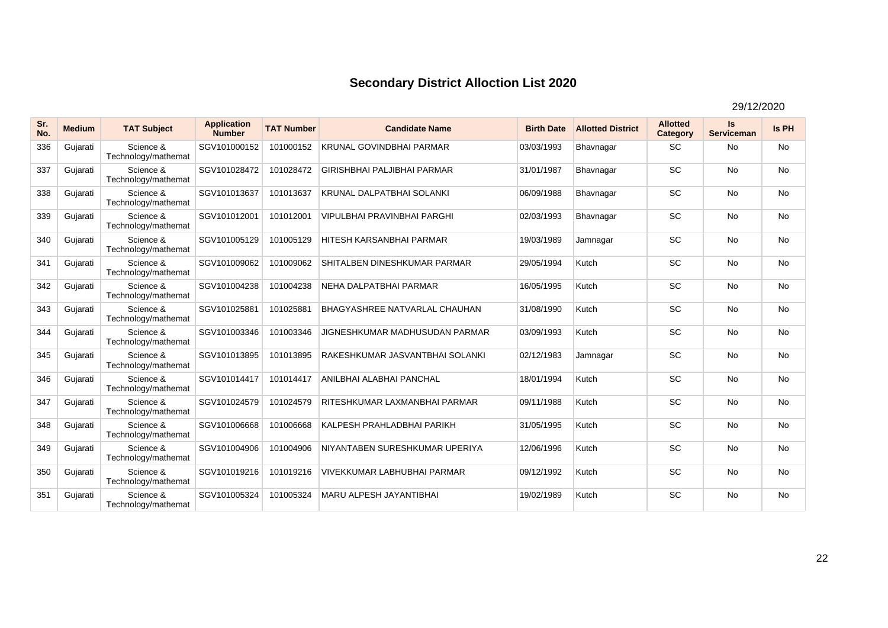| Sr.<br>No. | <b>Medium</b> | <b>TAT Subject</b>               | <b>Application</b><br><b>Number</b> | <b>TAT Number</b> | <b>Candidate Name</b>              | <b>Birth Date</b> | <b>Allotted District</b> | <b>Allotted</b><br>Category | Is<br><b>Serviceman</b> | Is PH     |
|------------|---------------|----------------------------------|-------------------------------------|-------------------|------------------------------------|-------------------|--------------------------|-----------------------------|-------------------------|-----------|
| 336        | Gujarati      | Science &<br>Technology/mathemat | SGV101000152                        | 101000152         | <b>KRUNAL GOVINDBHAI PARMAR</b>    | 03/03/1993        | Bhavnagar                | <b>SC</b>                   | No                      | <b>No</b> |
| 337        | Gujarati      | Science &<br>Technology/mathemat | SGV101028472                        | 101028472         | <b>GIRISHBHAI PALJIBHAI PARMAR</b> | 31/01/1987        | Bhavnagar                | <b>SC</b>                   | <b>No</b>               | <b>No</b> |
| 338        | Gujarati      | Science &<br>Technology/mathemat | SGV101013637                        | 101013637         | <b>KRUNAL DALPATBHAI SOLANKI</b>   | 06/09/1988        | Bhavnagar                | <b>SC</b>                   | <b>No</b>               | No        |
| 339        | Gujarati      | Science &<br>Technology/mathemat | SGV101012001                        | 101012001         | <b>VIPULBHAI PRAVINBHAI PARGHI</b> | 02/03/1993        | Bhavnagar                | <b>SC</b>                   | <b>No</b>               | No        |
| 340        | Gujarati      | Science &<br>Technology/mathemat | SGV101005129                        | 101005129         | <b>HITESH KARSANBHAI PARMAR</b>    | 19/03/1989        | Jamnagar                 | SC                          | <b>No</b>               | <b>No</b> |
| 341        | Gujarati      | Science &<br>Technology/mathemat | SGV101009062                        | 101009062         | SHITALBEN DINESHKUMAR PARMAR       | 29/05/1994        | Kutch                    | <b>SC</b>                   | <b>No</b>               | <b>No</b> |
| 342        | Gujarati      | Science &<br>Technology/mathemat | SGV101004238                        | 101004238         | NEHA DALPATBHAI PARMAR             | 16/05/1995        | Kutch                    | <b>SC</b>                   | <b>No</b>               | No        |
| 343        | Gujarati      | Science &<br>Technology/mathemat | SGV101025881                        | 101025881         | BHAGYASHREE NATVARLAL CHAUHAN      | 31/08/1990        | Kutch                    | <b>SC</b>                   | <b>No</b>               | No        |
| 344        | Gujarati      | Science &<br>Technology/mathemat | SGV101003346                        | 101003346         | JIGNESHKUMAR MADHUSUDAN PARMAR     | 03/09/1993        | Kutch                    | <b>SC</b>                   | <b>No</b>               | <b>No</b> |
| 345        | Gujarati      | Science &<br>Technology/mathemat | SGV101013895                        | 101013895         | RAKESHKUMAR JASVANTBHAI SOLANKI    | 02/12/1983        | Jamnagar                 | <b>SC</b>                   | <b>No</b>               | No        |
| 346        | Gujarati      | Science &<br>Technology/mathemat | SGV101014417                        | 101014417         | ANILBHAI ALABHAI PANCHAL           | 18/01/1994        | Kutch                    | <b>SC</b>                   | <b>No</b>               | <b>No</b> |
| 347        | Gujarati      | Science &<br>Technology/mathemat | SGV101024579                        | 101024579         | RITESHKUMAR LAXMANBHAI PARMAR      | 09/11/1988        | Kutch                    | <b>SC</b>                   | <b>No</b>               | No        |
| 348        | Gujarati      | Science &<br>Technology/mathemat | SGV101006668                        | 101006668         | KALPESH PRAHLADBHAI PARIKH         | 31/05/1995        | Kutch                    | <b>SC</b>                   | <b>No</b>               | <b>No</b> |
| 349        | Gujarati      | Science &<br>Technology/mathemat | SGV101004906                        | 101004906         | NIYANTABEN SURESHKUMAR UPERIYA     | 12/06/1996        | Kutch                    | SC                          | <b>No</b>               | No        |
| 350        | Gujarati      | Science &<br>Technology/mathemat | SGV101019216                        | 101019216         | <b>VIVEKKUMAR LABHUBHAI PARMAR</b> | 09/12/1992        | Kutch                    | <b>SC</b>                   | <b>No</b>               | No        |
| 351        | Gujarati      | Science &<br>Technology/mathemat | SGV101005324                        | 101005324         | <b>MARU ALPESH JAYANTIBHAI</b>     | 19/02/1989        | Kutch                    | <b>SC</b>                   | <b>No</b>               | <b>No</b> |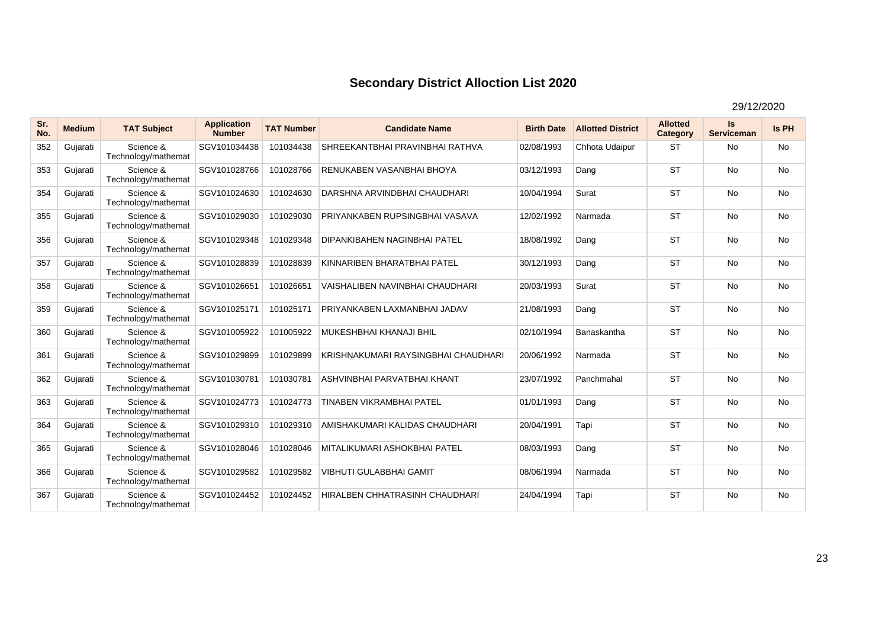| Sr.<br>No. | <b>Medium</b> | <b>TAT Subject</b>               | <b>Application</b><br><b>Number</b> | <b>TAT Number</b> | <b>Candidate Name</b>                 | <b>Birth Date</b> | <b>Allotted District</b> | <b>Allotted</b><br>Category | Is<br><b>Serviceman</b> | Is PH     |
|------------|---------------|----------------------------------|-------------------------------------|-------------------|---------------------------------------|-------------------|--------------------------|-----------------------------|-------------------------|-----------|
| 352        | Gujarati      | Science &<br>Technology/mathemat | SGV101034438                        | 101034438         | SHREEKANTBHAI PRAVINBHAI RATHVA       | 02/08/1993        | Chhota Udaipur           | <b>ST</b>                   | <b>No</b>               | <b>No</b> |
| 353        | Gujarati      | Science &<br>Technology/mathemat | SGV101028766                        | 101028766         | RENUKABEN VASANBHAI BHOYA             | 03/12/1993        | Dang                     | <b>ST</b>                   | <b>No</b>               | <b>No</b> |
| 354        | Gujarati      | Science &<br>Technology/mathemat | SGV101024630                        | 101024630         | DARSHNA ARVINDBHAI CHAUDHARI          | 10/04/1994        | Surat                    | <b>ST</b>                   | <b>No</b>               | <b>No</b> |
| 355        | Gujarati      | Science &<br>Technology/mathemat | SGV101029030                        | 101029030         | PRIYANKABEN RUPSINGBHAI VASAVA        | 12/02/1992        | Narmada                  | <b>ST</b>                   | <b>No</b>               | <b>No</b> |
| 356        | Gujarati      | Science &<br>Technology/mathemat | SGV101029348                        | 101029348         | <b>DIPANKIBAHEN NAGINBHAI PATEL</b>   | 18/08/1992        | Dang                     | <b>ST</b>                   | <b>No</b>               | <b>No</b> |
| 357        | Gujarati      | Science &<br>Technology/mathemat | SGV101028839                        | 101028839         | KINNARIBEN BHARATBHAI PATEL           | 30/12/1993        | Dang                     | <b>ST</b>                   | <b>No</b>               | No        |
| 358        | Gujarati      | Science &<br>Technology/mathemat | SGV101026651                        | 101026651         | VAISHALIBEN NAVINBHAI CHAUDHARI       | 20/03/1993        | Surat                    | <b>ST</b>                   | No                      | No        |
| 359        | Gujarati      | Science &<br>Technology/mathemat | SGV101025171                        | 101025171         | PRIYANKABEN LAXMANBHAI JADAV          | 21/08/1993        | Dang                     | <b>ST</b>                   | <b>No</b>               | No        |
| 360        | Gujarati      | Science &<br>Technology/mathemat | SGV101005922                        | 101005922         | MUKESHBHAI KHANAJI BHIL               | 02/10/1994        | Banaskantha              | <b>ST</b>                   | <b>No</b>               | No        |
| 361        | Gujarati      | Science &<br>Technology/mathemat | SGV101029899                        | 101029899         | KRISHNAKUMARI RAYSINGBHAI CHAUDHARI   | 20/06/1992        | Narmada                  | <b>ST</b>                   | <b>No</b>               | <b>No</b> |
| 362        | Gujarati      | Science &<br>Technology/mathemat | SGV101030781                        | 101030781         | ASHVINBHAI PARVATBHAI KHANT           | 23/07/1992        | Panchmahal               | <b>ST</b>                   | <b>No</b>               | No        |
| 363        | Gujarati      | Science &<br>Technology/mathemat | SGV101024773                        | 101024773         | <b>TINABEN VIKRAMBHAI PATEL</b>       | 01/01/1993        | Dang                     | <b>ST</b>                   | <b>No</b>               | <b>No</b> |
| 364        | Gujarati      | Science &<br>Technology/mathemat | SGV101029310                        | 101029310         | AMISHAKUMARI KALIDAS CHAUDHARI        | 20/04/1991        | Tapi                     | <b>ST</b>                   | <b>No</b>               | <b>No</b> |
| 365        | Gujarati      | Science &<br>Technology/mathemat | SGV101028046                        | 101028046         | MITALIKUMARI ASHOKBHAI PATEL          | 08/03/1993        | Dang                     | <b>ST</b>                   | <b>No</b>               | <b>No</b> |
| 366        | Gujarati      | Science &<br>Technology/mathemat | SGV101029582                        | 101029582         | <b>VIBHUTI GULABBHAI GAMIT</b>        | 08/06/1994        | Narmada                  | <b>ST</b>                   | <b>No</b>               | <b>No</b> |
| 367        | Gujarati      | Science &<br>Technology/mathemat | SGV101024452                        | 101024452         | <b>HIRALBEN CHHATRASINH CHAUDHARI</b> | 24/04/1994        | Tapi                     | <b>ST</b>                   | <b>No</b>               | <b>No</b> |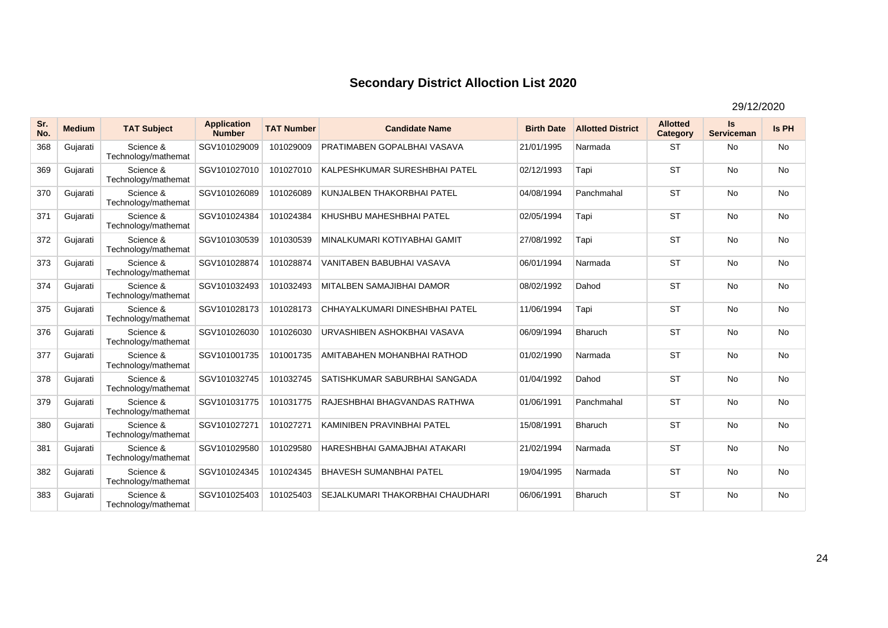| Sr.<br>No. | <b>Medium</b> | <b>TAT Subject</b>               | <b>Application</b><br><b>Number</b> | <b>TAT Number</b> | <b>Candidate Name</b>            | <b>Birth Date</b> | <b>Allotted District</b> | <b>Allotted</b><br>Category | Is<br><b>Serviceman</b> | <b>Is PH</b> |
|------------|---------------|----------------------------------|-------------------------------------|-------------------|----------------------------------|-------------------|--------------------------|-----------------------------|-------------------------|--------------|
| 368        | Gujarati      | Science &<br>Technology/mathemat | SGV101029009                        | 101029009         | PRATIMABEN GOPALBHAI VASAVA      | 21/01/1995        | Narmada                  | <b>ST</b>                   | <b>No</b>               | <b>No</b>    |
| 369        | Gujarati      | Science &<br>Technology/mathemat | SGV101027010                        | 101027010         | KALPESHKUMAR SURESHBHAI PATEL    | 02/12/1993        | Tapi                     | <b>ST</b>                   | <b>No</b>               | No           |
| 370        | Gujarati      | Science &<br>Technology/mathemat | SGV101026089                        | 101026089         | KUNJALBEN THAKORBHAI PATEL       | 04/08/1994        | Panchmahal               | <b>ST</b>                   | <b>No</b>               | <b>No</b>    |
| 371        | Gujarati      | Science &<br>Technology/mathemat | SGV101024384                        | 101024384         | KHUSHBU MAHESHBHAI PATEL         | 02/05/1994        | Tapi                     | <b>ST</b>                   | <b>No</b>               | No           |
| 372        | Gujarati      | Science &<br>Technology/mathemat | SGV101030539                        | 101030539         | MINALKUMARI KOTIYABHAI GAMIT     | 27/08/1992        | Tapi                     | <b>ST</b>                   | <b>No</b>               | <b>No</b>    |
| 373        | Gujarati      | Science &<br>Technology/mathemat | SGV101028874                        | 101028874         | VANITABEN BABUBHAI VASAVA        | 06/01/1994        | Narmada                  | <b>ST</b>                   | <b>No</b>               | No           |
| 374        | Gujarati      | Science &<br>Technology/mathemat | SGV101032493                        | 101032493         | <b>MITALBEN SAMAJIBHAI DAMOR</b> | 08/02/1992        | Dahod                    | <b>ST</b>                   | <b>No</b>               | <b>No</b>    |
| 375        | Gujarati      | Science &<br>Technology/mathemat | SGV101028173                        | 101028173         | CHHAYALKUMARI DINESHBHAI PATEL   | 11/06/1994        | Tapi                     | <b>ST</b>                   | <b>No</b>               | No           |
| 376        | Gujarati      | Science &<br>Technology/mathemat | SGV101026030                        | 101026030         | URVASHIBEN ASHOKBHAI VASAVA      | 06/09/1994        | <b>Bharuch</b>           | <b>ST</b>                   | <b>No</b>               | <b>No</b>    |
| 377        | Gujarati      | Science &<br>Technology/mathemat | SGV101001735                        | 101001735         | AMITABAHEN MOHANBHAI RATHOD      | 01/02/1990        | Narmada                  | <b>ST</b>                   | <b>No</b>               | <b>No</b>    |
| 378        | Gujarati      | Science &<br>Technology/mathemat | SGV101032745                        | 101032745         | SATISHKUMAR SABURBHAI SANGADA    | 01/04/1992        | Dahod                    | <b>ST</b>                   | <b>No</b>               | No           |
| 379        | Gujarati      | Science &<br>Technology/mathemat | SGV101031775                        | 101031775         | RAJESHBHAI BHAGVANDAS RATHWA     | 01/06/1991        | Panchmahal               | <b>ST</b>                   | <b>No</b>               | <b>No</b>    |
| 380        | Gujarati      | Science &<br>Technology/mathemat | SGV101027271                        | 101027271         | KAMINIBEN PRAVINBHAI PATEL       | 15/08/1991        | <b>Bharuch</b>           | <b>ST</b>                   | <b>No</b>               | <b>No</b>    |
| 381        | Gujarati      | Science &<br>Technology/mathemat | SGV101029580                        | 101029580         | HARESHBHAI GAMAJBHAI ATAKARI     | 21/02/1994        | Narmada                  | <b>ST</b>                   | <b>No</b>               | <b>No</b>    |
| 382        | Gujarati      | Science &<br>Technology/mathemat | SGV101024345                        | 101024345         | <b>BHAVESH SUMANBHAI PATEL</b>   | 19/04/1995        | Narmada                  | <b>ST</b>                   | <b>No</b>               | No           |
| 383        | Gujarati      | Science &<br>Technology/mathemat | SGV101025403                        | 101025403         | SEJALKUMARI THAKORBHAI CHAUDHARI | 06/06/1991        | <b>Bharuch</b>           | <b>ST</b>                   | <b>No</b>               | <b>No</b>    |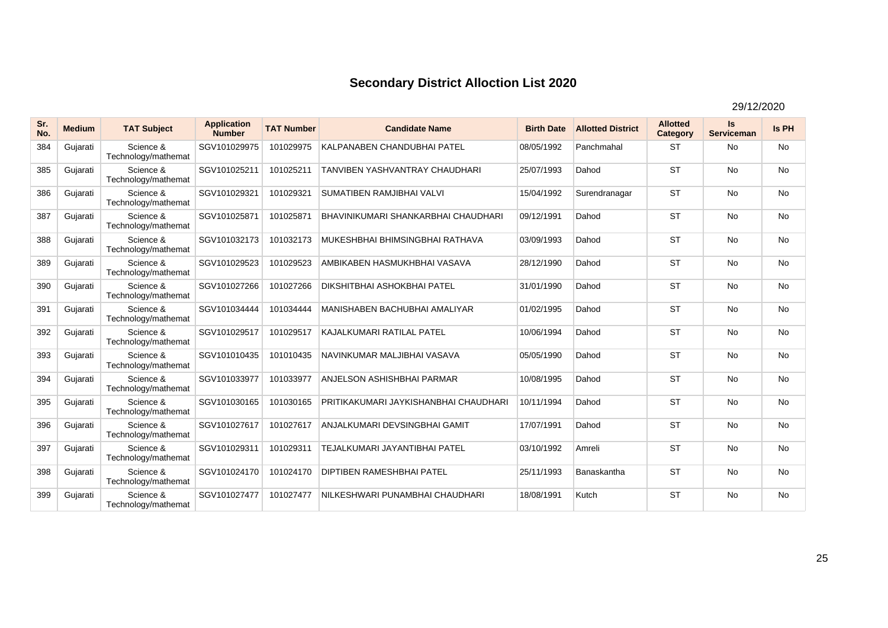| Sr.<br>No. | <b>Medium</b> | <b>TAT Subject</b>               | <b>Application</b><br><b>Number</b> | <b>TAT Number</b> | <b>Candidate Name</b>                 | <b>Birth Date</b> | <b>Allotted District</b> | <b>Allotted</b><br>Category | Is<br><b>Serviceman</b> | Is PH     |
|------------|---------------|----------------------------------|-------------------------------------|-------------------|---------------------------------------|-------------------|--------------------------|-----------------------------|-------------------------|-----------|
| 384        | Gujarati      | Science &<br>Technology/mathemat | SGV101029975                        | 101029975         | KALPANABEN CHANDUBHAI PATEL           | 08/05/1992        | Panchmahal               | <b>ST</b>                   | <b>No</b>               | <b>No</b> |
| 385        | Gujarati      | Science &<br>Technology/mathemat | SGV101025211                        | 101025211         | TANVIBEN YASHVANTRAY CHAUDHARI        | 25/07/1993        | Dahod                    | <b>ST</b>                   | <b>No</b>               | <b>No</b> |
| 386        | Gujarati      | Science &<br>Technology/mathemat | SGV101029321                        | 101029321         | SUMATIBEN RAMJIBHAI VALVI             | 15/04/1992        | Surendranagar            | <b>ST</b>                   | <b>No</b>               | <b>No</b> |
| 387        | Gujarati      | Science &<br>Technology/mathemat | SGV101025871                        | 101025871         | BHAVINIKUMARI SHANKARBHAI CHAUDHARI   | 09/12/1991        | Dahod                    | <b>ST</b>                   | <b>No</b>               | <b>No</b> |
| 388        | Gujarati      | Science &<br>Technology/mathemat | SGV101032173                        | 101032173         | MUKESHBHAI BHIMSINGBHAI RATHAVA       | 03/09/1993        | Dahod                    | <b>ST</b>                   | <b>No</b>               | <b>No</b> |
| 389        | Gujarati      | Science &<br>Technology/mathemat | SGV101029523                        | 101029523         | AMBIKABEN HASMUKHBHAI VASAVA          | 28/12/1990        | Dahod                    | <b>ST</b>                   | <b>No</b>               | <b>No</b> |
| 390        | Gujarati      | Science &<br>Technology/mathemat | SGV101027266                        | 101027266         | <b>DIKSHITBHAI ASHOKBHAI PATEL</b>    | 31/01/1990        | Dahod                    | <b>ST</b>                   | <b>No</b>               | <b>No</b> |
| 391        | Gujarati      | Science &<br>Technology/mathemat | SGV101034444                        | 101034444         | MANISHABEN BACHUBHAI AMALIYAR         | 01/02/1995        | Dahod                    | <b>ST</b>                   | <b>No</b>               | <b>No</b> |
| 392        | Gujarati      | Science &<br>Technology/mathemat | SGV101029517                        | 101029517         | KAJALKUMARI RATILAL PATEL             | 10/06/1994        | Dahod                    | <b>ST</b>                   | <b>No</b>               | <b>No</b> |
| 393        | Gujarati      | Science &<br>Technology/mathemat | SGV101010435                        | 101010435         | NAVINKUMAR MALJIBHAI VASAVA           | 05/05/1990        | Dahod                    | <b>ST</b>                   | <b>No</b>               | <b>No</b> |
| 394        | Gujarati      | Science &<br>Technology/mathemat | SGV101033977                        | 101033977         | <b>ANJELSON ASHISHBHAI PARMAR</b>     | 10/08/1995        | Dahod                    | <b>ST</b>                   | <b>No</b>               | <b>No</b> |
| 395        | Gujarati      | Science &<br>Technology/mathemat | SGV101030165                        | 101030165         | PRITIKAKUMARI JAYKISHANBHAI CHAUDHARI | 10/11/1994        | Dahod                    | <b>ST</b>                   | <b>No</b>               | <b>No</b> |
| 396        | Gujarati      | Science &<br>Technology/mathemat | SGV101027617                        | 101027617         | ANJALKUMARI DEVSINGBHAI GAMIT         | 17/07/1991        | Dahod                    | <b>ST</b>                   | <b>No</b>               | <b>No</b> |
| 397        | Gujarati      | Science &<br>Technology/mathemat | SGV101029311                        | 101029311         | TEJALKUMARI JAYANTIBHAI PATEL         | 03/10/1992        | Amreli                   | <b>ST</b>                   | <b>No</b>               | <b>No</b> |
| 398        | Gujarati      | Science &<br>Technology/mathemat | SGV101024170                        | 101024170         | <b>DIPTIBEN RAMESHBHAI PATEL</b>      | 25/11/1993        | Banaskantha              | <b>ST</b>                   | <b>No</b>               | <b>No</b> |
| 399        | Gujarati      | Science &<br>Technology/mathemat | SGV101027477                        | 101027477         | NILKESHWARI PUNAMBHAI CHAUDHARI       | 18/08/1991        | Kutch                    | <b>ST</b>                   | <b>No</b>               | <b>No</b> |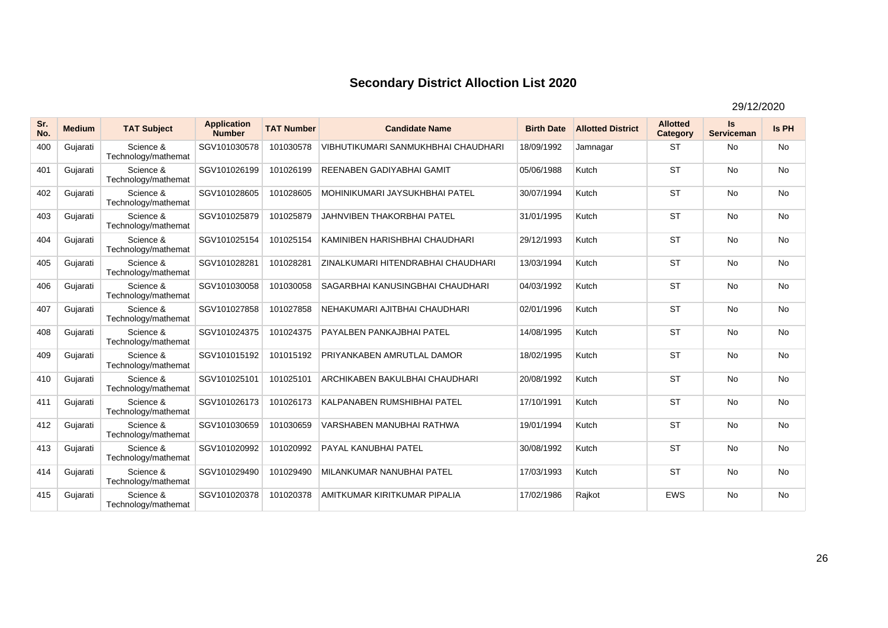| Sr.<br>No. | <b>Medium</b> | <b>TAT Subject</b>               | <b>Application</b><br><b>Number</b> | <b>TAT Number</b> | <b>Candidate Name</b>               | <b>Birth Date</b> | <b>Allotted District</b> | <b>Allotted</b><br><b>Category</b> | Is<br><b>Serviceman</b> | Is PH     |
|------------|---------------|----------------------------------|-------------------------------------|-------------------|-------------------------------------|-------------------|--------------------------|------------------------------------|-------------------------|-----------|
| 400        | Gujarati      | Science &<br>Technology/mathemat | SGV101030578                        | 101030578         | VIBHUTIKUMARI SANMUKHBHAI CHAUDHARI | 18/09/1992        | Jamnagar                 | <b>ST</b>                          | <b>No</b>               | <b>No</b> |
| 401        | Gujarati      | Science &<br>Technology/mathemat | SGV101026199                        | 101026199         | REENABEN GADIYABHAI GAMIT           | 05/06/1988        | Kutch                    | <b>ST</b>                          | <b>No</b>               | No        |
| 402        | Gujarati      | Science &<br>Technology/mathemat | SGV101028605                        | 101028605         | MOHINIKUMARI JAYSUKHBHAI PATEL      | 30/07/1994        | Kutch                    | <b>ST</b>                          | <b>No</b>               | No        |
| 403        | Gujarati      | Science &<br>Technology/mathemat | SGV101025879                        | 101025879         | JAHNVIBEN THAKORBHAI PATEL          | 31/01/1995        | Kutch                    | <b>ST</b>                          | <b>No</b>               | <b>No</b> |
| 404        | Gujarati      | Science &<br>Technology/mathemat | SGV101025154                        | 101025154         | KAMINIBEN HARISHBHAI CHAUDHARI      | 29/12/1993        | Kutch                    | <b>ST</b>                          | <b>No</b>               | <b>No</b> |
| 405        | Gujarati      | Science &<br>Technology/mathemat | SGV101028281                        | 101028281         | ZINALKUMARI HITENDRABHAI CHAUDHARI  | 13/03/1994        | Kutch                    | <b>ST</b>                          | <b>No</b>               | No        |
| 406        | Gujarati      | Science &<br>Technology/mathemat | SGV101030058                        | 101030058         | SAGARBHAI KANUSINGBHAI CHAUDHARI    | 04/03/1992        | Kutch                    | <b>ST</b>                          | <b>No</b>               | No        |
| 407        | Gujarati      | Science &<br>Technology/mathemat | SGV101027858                        | 101027858         | NEHAKUMARI AJITBHAI CHAUDHARI       | 02/01/1996        | Kutch                    | <b>ST</b>                          | <b>No</b>               | <b>No</b> |
| 408        | Gujarati      | Science &<br>Technology/mathemat | SGV101024375                        | 101024375         | <b>PAYALBEN PANKAJBHAI PATEL</b>    | 14/08/1995        | Kutch                    | <b>ST</b>                          | <b>No</b>               | <b>No</b> |
| 409        | Gujarati      | Science &<br>Technology/mathemat | SGV101015192                        | 101015192         | PRIYANKABEN AMRUTLAL DAMOR          | 18/02/1995        | Kutch                    | <b>ST</b>                          | <b>No</b>               | No        |
| 410        | Gujarati      | Science &<br>Technology/mathemat | SGV101025101                        | 101025101         | ARCHIKABEN BAKULBHAI CHAUDHARI      | 20/08/1992        | Kutch                    | <b>ST</b>                          | <b>No</b>               | <b>No</b> |
| 411        | Gujarati      | Science &<br>Technology/mathemat | SGV101026173                        | 101026173         | KALPANABEN RUMSHIBHAI PATEL         | 17/10/1991        | Kutch                    | <b>ST</b>                          | <b>No</b>               | No        |
| 412        | Gujarati      | Science &<br>Technology/mathemat | SGV101030659                        | 101030659         | VARSHABEN MANUBHAI RATHWA           | 19/01/1994        | Kutch                    | <b>ST</b>                          | <b>No</b>               | <b>No</b> |
| 413        | Gujarati      | Science &<br>Technology/mathemat | SGV101020992                        | 101020992         | <b>PAYAL KANUBHAI PATEL</b>         | 30/08/1992        | Kutch                    | <b>ST</b>                          | <b>No</b>               | <b>No</b> |
| 414        | Gujarati      | Science &<br>Technology/mathemat | SGV101029490                        | 101029490         | MILANKUMAR NANUBHAI PATEL           | 17/03/1993        | Kutch                    | <b>ST</b>                          | <b>No</b>               | No        |
| 415        | Gujarati      | Science &<br>Technology/mathemat | SGV101020378                        | 101020378         | AMITKUMAR KIRITKUMAR PIPALIA        | 17/02/1986        | Rajkot                   | <b>EWS</b>                         | <b>No</b>               | No        |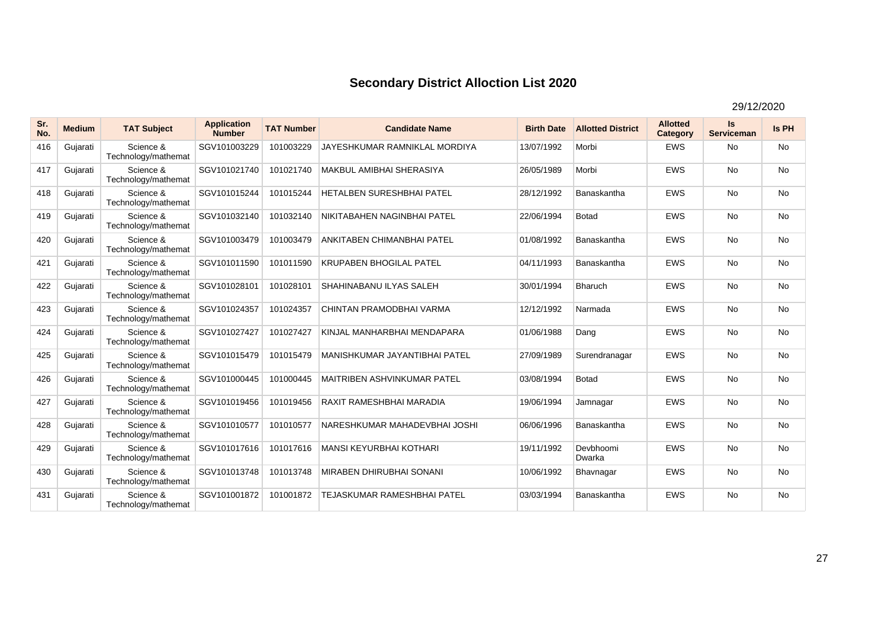| Sr.<br>No. | <b>Medium</b> | <b>TAT Subject</b>               | <b>Application</b><br><b>Number</b> | <b>TAT Number</b> | <b>Candidate Name</b>              | <b>Birth Date</b> | <b>Allotted District</b> | <b>Allotted</b><br>Category | Is<br><b>Serviceman</b> | <b>Is PH</b> |
|------------|---------------|----------------------------------|-------------------------------------|-------------------|------------------------------------|-------------------|--------------------------|-----------------------------|-------------------------|--------------|
| 416        | Gujarati      | Science &<br>Technology/mathemat | SGV101003229                        | 101003229         | JAYESHKUMAR RAMNIKLAL MORDIYA      | 13/07/1992        | Morbi                    | <b>EWS</b>                  | <b>No</b>               | <b>No</b>    |
| 417        | Gujarati      | Science &<br>Technology/mathemat | SGV101021740                        | 101021740         | <b>MAKBUL AMIBHAI SHERASIYA</b>    | 26/05/1989        | Morbi                    | <b>EWS</b>                  | <b>No</b>               | No           |
| 418        | Gujarati      | Science &<br>Technology/mathemat | SGV101015244                        | 101015244         | HETALBEN SURESHBHAI PATEL          | 28/12/1992        | Banaskantha              | <b>EWS</b>                  | <b>No</b>               | <b>No</b>    |
| 419        | Gujarati      | Science &<br>Technology/mathemat | SGV101032140                        | 101032140         | NIKITABAHEN NAGINBHAI PATEL        | 22/06/1994        | <b>Botad</b>             | <b>EWS</b>                  | <b>No</b>               | No           |
| 420        | Gujarati      | Science &<br>Technology/mathemat | SGV101003479                        | 101003479         | ANKITABEN CHIMANBHAI PATEL         | 01/08/1992        | Banaskantha              | <b>EWS</b>                  | <b>No</b>               | <b>No</b>    |
| 421        | Gujarati      | Science &<br>Technology/mathemat | SGV101011590                        | 101011590         | <b>KRUPABEN BHOGILAL PATEL</b>     | 04/11/1993        | Banaskantha              | <b>EWS</b>                  | <b>No</b>               | No           |
| 422        | Gujarati      | Science &<br>Technology/mathemat | SGV101028101                        | 101028101         | SHAHINABANU ILYAS SALEH            | 30/01/1994        | <b>Bharuch</b>           | <b>EWS</b>                  | <b>No</b>               | <b>No</b>    |
| 423        | Gujarati      | Science &<br>Technology/mathemat | SGV101024357                        | 101024357         | CHINTAN PRAMODBHAI VARMA           | 12/12/1992        | Narmada                  | <b>EWS</b>                  | <b>No</b>               | No           |
| 424        | Gujarati      | Science &<br>Technology/mathemat | SGV101027427                        | 101027427         | KINJAL MANHARBHAI MENDAPARA        | 01/06/1988        | Dang                     | <b>EWS</b>                  | <b>No</b>               | <b>No</b>    |
| 425        | Gujarati      | Science &<br>Technology/mathemat | SGV101015479                        | 101015479         | MANISHKUMAR JAYANTIBHAI PATEL      | 27/09/1989        | Surendranagar            | <b>EWS</b>                  | <b>No</b>               | <b>No</b>    |
| 426        | Gujarati      | Science &<br>Technology/mathemat | SGV101000445                        | 101000445         | <b>MAITRIBEN ASHVINKUMAR PATEL</b> | 03/08/1994        | <b>Botad</b>             | <b>EWS</b>                  | <b>No</b>               | No           |
| 427        | Gujarati      | Science &<br>Technology/mathemat | SGV101019456                        | 101019456         | RAXIT RAMESHBHAI MARADIA           | 19/06/1994        | Jamnagar                 | <b>EWS</b>                  | <b>No</b>               | <b>No</b>    |
| 428        | Gujarati      | Science &<br>Technology/mathemat | SGV101010577                        | 101010577         | NARESHKUMAR MAHADEVBHAI JOSHI      | 06/06/1996        | Banaskantha              | <b>EWS</b>                  | <b>No</b>               | <b>No</b>    |
| 429        | Gujarati      | Science &<br>Technology/mathemat | SGV101017616                        | 101017616         | MANSI KEYURBHAI KOTHARI            | 19/11/1992        | Devbhoomi<br>Dwarka      | <b>EWS</b>                  | <b>No</b>               | <b>No</b>    |
| 430        | Gujarati      | Science &<br>Technology/mathemat | SGV101013748                        | 101013748         | <b>MIRABEN DHIRUBHAI SONANI</b>    | 10/06/1992        | Bhavnagar                | <b>EWS</b>                  | <b>No</b>               | No           |
| 431        | Gujarati      | Science &<br>Technology/mathemat | SGV101001872                        | 101001872         | <b>TEJASKUMAR RAMESHBHAI PATEL</b> | 03/03/1994        | Banaskantha              | <b>EWS</b>                  | <b>No</b>               | <b>No</b>    |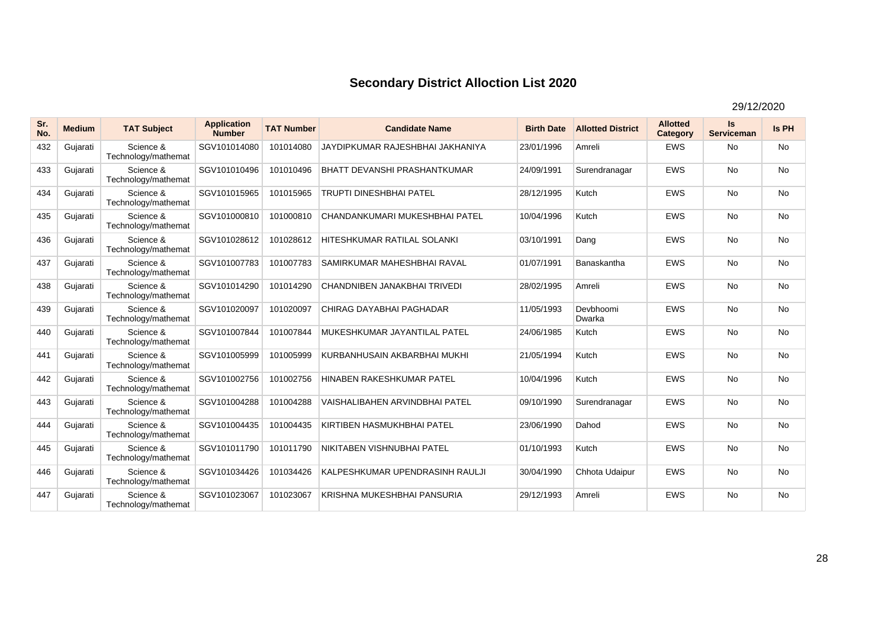| Sr.<br>No. | <b>Medium</b> | <b>TAT Subject</b>               | <b>Application</b><br><b>Number</b> | <b>TAT Number</b> | <b>Candidate Name</b>                 | <b>Birth Date</b> | <b>Allotted District</b> | <b>Allotted</b><br>Category | Is<br><b>Serviceman</b> | <b>Is PH</b> |
|------------|---------------|----------------------------------|-------------------------------------|-------------------|---------------------------------------|-------------------|--------------------------|-----------------------------|-------------------------|--------------|
| 432        | Gujarati      | Science &<br>Technology/mathemat | SGV101014080                        | 101014080         | JAYDIPKUMAR RAJESHBHAI JAKHANIYA      | 23/01/1996        | Amreli                   | <b>EWS</b>                  | <b>No</b>               | <b>No</b>    |
| 433        | Gujarati      | Science &<br>Technology/mathemat | SGV101010496                        | 101010496         | <b>BHATT DEVANSHI PRASHANTKUMAR</b>   | 24/09/1991        | Surendranagar            | <b>EWS</b>                  | <b>No</b>               | No           |
| 434        | Gujarati      | Science &<br>Technology/mathemat | SGV101015965                        | 101015965         | <b>TRUPTI DINESHBHAI PATEL</b>        | 28/12/1995        | Kutch                    | <b>EWS</b>                  | <b>No</b>               | <b>No</b>    |
| 435        | Gujarati      | Science &<br>Technology/mathemat | SGV101000810                        | 101000810         | CHANDANKUMARI MUKESHBHAI PATEL        | 10/04/1996        | Kutch                    | <b>EWS</b>                  | <b>No</b>               | No           |
| 436        | Gujarati      | Science &<br>Technology/mathemat | SGV101028612                        | 101028612         | HITESHKUMAR RATILAL SOLANKI           | 03/10/1991        | Dang                     | <b>EWS</b>                  | <b>No</b>               | <b>No</b>    |
| 437        | Gujarati      | Science &<br>Technology/mathemat | SGV101007783                        | 101007783         | SAMIRKUMAR MAHESHBHAI RAVAL           | 01/07/1991        | Banaskantha              | <b>EWS</b>                  | <b>No</b>               | No           |
| 438        | Gujarati      | Science &<br>Technology/mathemat | SGV101014290                        | 101014290         | CHANDNIBEN JANAKBHAI TRIVEDI          | 28/02/1995        | Amreli                   | <b>EWS</b>                  | <b>No</b>               | <b>No</b>    |
| 439        | Gujarati      | Science &<br>Technology/mathemat | SGV101020097                        | 101020097         | CHIRAG DAYABHAI PAGHADAR              | 11/05/1993        | Devbhoomi<br>Dwarka      | <b>EWS</b>                  | <b>No</b>               | No           |
| 440        | Gujarati      | Science &<br>Technology/mathemat | SGV101007844                        | 101007844         | MUKESHKUMAR JAYANTILAL PATEL          | 24/06/1985        | Kutch                    | <b>EWS</b>                  | <b>No</b>               | <b>No</b>    |
| 441        | Gujarati      | Science &<br>Technology/mathemat | SGV101005999                        | 101005999         | KURBANHUSAIN AKBARBHAI MUKHI          | 21/05/1994        | Kutch                    | <b>EWS</b>                  | <b>No</b>               | <b>No</b>    |
| 442        | Gujarati      | Science &<br>Technology/mathemat | SGV101002756                        | 101002756         | <b>HINABEN RAKESHKUMAR PATEL</b>      | 10/04/1996        | Kutch                    | <b>EWS</b>                  | <b>No</b>               | No           |
| 443        | Gujarati      | Science &<br>Technology/mathemat | SGV101004288                        | 101004288         | <b>VAISHALIBAHEN ARVINDBHAI PATEL</b> | 09/10/1990        | Surendranagar            | <b>EWS</b>                  | <b>No</b>               | <b>No</b>    |
| 444        | Gujarati      | Science &<br>Technology/mathemat | SGV101004435                        | 101004435         | <b>KIRTIBEN HASMUKHBHAI PATEL</b>     | 23/06/1990        | Dahod                    | <b>EWS</b>                  | <b>No</b>               | <b>No</b>    |
| 445        | Gujarati      | Science &<br>Technology/mathemat | SGV101011790                        | 101011790         | NIKITABEN VISHNUBHAI PATEL            | 01/10/1993        | Kutch                    | <b>EWS</b>                  | <b>No</b>               | <b>No</b>    |
| 446        | Gujarati      | Science &<br>Technology/mathemat | SGV101034426                        | 101034426         | KALPESHKUMAR UPENDRASINH RAULJI       | 30/04/1990        | Chhota Udaipur           | <b>EWS</b>                  | <b>No</b>               | No           |
| 447        | Gujarati      | Science &<br>Technology/mathemat | SGV101023067                        | 101023067         | KRISHNA MUKESHBHAI PANSURIA           | 29/12/1993        | Amreli                   | <b>EWS</b>                  | <b>No</b>               | <b>No</b>    |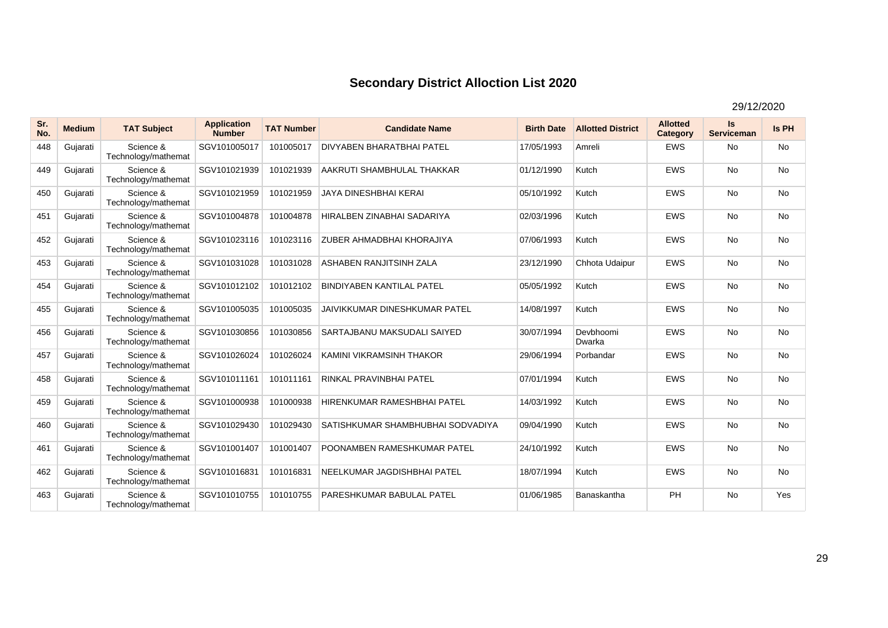| Sr.<br>No. | <b>Medium</b> | <b>TAT Subject</b>               | <b>Application</b><br><b>Number</b> | <b>TAT Number</b> | <b>Candidate Name</b>                | <b>Birth Date</b> | <b>Allotted District</b> | <b>Allotted</b><br>Category | Is<br><b>Serviceman</b> | Is PH     |
|------------|---------------|----------------------------------|-------------------------------------|-------------------|--------------------------------------|-------------------|--------------------------|-----------------------------|-------------------------|-----------|
| 448        | Gujarati      | Science &<br>Technology/mathemat | SGV101005017                        | 101005017         | <b>DIVYABEN BHARATBHAI PATEL</b>     | 17/05/1993        | Amreli                   | <b>EWS</b>                  | No                      | <b>No</b> |
| 449        | Gujarati      | Science &<br>Technology/mathemat | SGV101021939                        | 101021939         | AAKRUTI SHAMBHULAL THAKKAR           | 01/12/1990        | Kutch                    | <b>EWS</b>                  | <b>No</b>               | <b>No</b> |
| 450        | Gujarati      | Science &<br>Technology/mathemat | SGV101021959                        | 101021959         | <b>JAYA DINESHBHAI KERAI</b>         | 05/10/1992        | Kutch                    | <b>EWS</b>                  | <b>No</b>               | <b>No</b> |
| 451        | Gujarati      | Science &<br>Technology/mathemat | SGV101004878                        | 101004878         | HIRALBEN ZINABHAI SADARIYA           | 02/03/1996        | Kutch                    | <b>EWS</b>                  | <b>No</b>               | <b>No</b> |
| 452        | Gujarati      | Science &<br>Technology/mathemat | SGV101023116                        | 101023116         | <b>ZUBER AHMADBHAI KHORAJIYA</b>     | 07/06/1993        | Kutch                    | <b>EWS</b>                  | <b>No</b>               | <b>No</b> |
| 453        | Gujarati      | Science &<br>Technology/mathemat | SGV101031028                        | 101031028         | ASHABEN RANJITSINH ZALA              | 23/12/1990        | Chhota Udaipur           | <b>EWS</b>                  | <b>No</b>               | No        |
| 454        | Gujarati      | Science &<br>Technology/mathemat | SGV101012102                        | 101012102         | <b>BINDIYABEN KANTILAL PATEL</b>     | 05/05/1992        | Kutch                    | <b>EWS</b>                  | No                      | No        |
| 455        | Gujarati      | Science &<br>Technology/mathemat | SGV101005035                        | 101005035         | <b>JAIVIKKUMAR DINESHKUMAR PATEL</b> | 14/08/1997        | Kutch                    | <b>EWS</b>                  | <b>No</b>               | No        |
| 456        | Gujarati      | Science &<br>Technology/mathemat | SGV101030856                        | 101030856         | SARTAJBANU MAKSUDALI SAIYED          | 30/07/1994        | Devbhoomi<br>Dwarka      | <b>EWS</b>                  | <b>No</b>               | <b>No</b> |
| 457        | Gujarati      | Science &<br>Technology/mathemat | SGV101026024                        | 101026024         | KAMINI VIKRAMSINH THAKOR             | 29/06/1994        | Porbandar                | <b>EWS</b>                  | <b>No</b>               | <b>No</b> |
| 458        | Gujarati      | Science &<br>Technology/mathemat | SGV101011161                        | 101011161         | RINKAL PRAVINBHAI PATEL              | 07/01/1994        | Kutch                    | <b>EWS</b>                  | <b>No</b>               | <b>No</b> |
| 459        | Gujarati      | Science &<br>Technology/mathemat | SGV101000938                        | 101000938         | HIRENKUMAR RAMESHBHAI PATEL          | 14/03/1992        | Kutch                    | <b>EWS</b>                  | <b>No</b>               | <b>No</b> |
| 460        | Gujarati      | Science &<br>Technology/mathemat | SGV101029430                        | 101029430         | SATISHKUMAR SHAMBHUBHAI SODVADIYA    | 09/04/1990        | Kutch                    | <b>EWS</b>                  | <b>No</b>               | <b>No</b> |
| 461        | Gujarati      | Science &<br>Technology/mathemat | SGV101001407                        | 101001407         | POONAMBEN RAMESHKUMAR PATEL          | 24/10/1992        | Kutch                    | <b>EWS</b>                  | <b>No</b>               | <b>No</b> |
| 462        | Gujarati      | Science &<br>Technology/mathemat | SGV101016831                        | 101016831         | NEELKUMAR JAGDISHBHAI PATEL          | 18/07/1994        | Kutch                    | <b>EWS</b>                  | <b>No</b>               | <b>No</b> |
| 463        | Gujarati      | Science &<br>Technology/mathemat | SGV101010755                        | 101010755         | <b>PARESHKUMAR BABULAL PATEL</b>     | 01/06/1985        | Banaskantha              | <b>PH</b>                   | <b>No</b>               | Yes       |